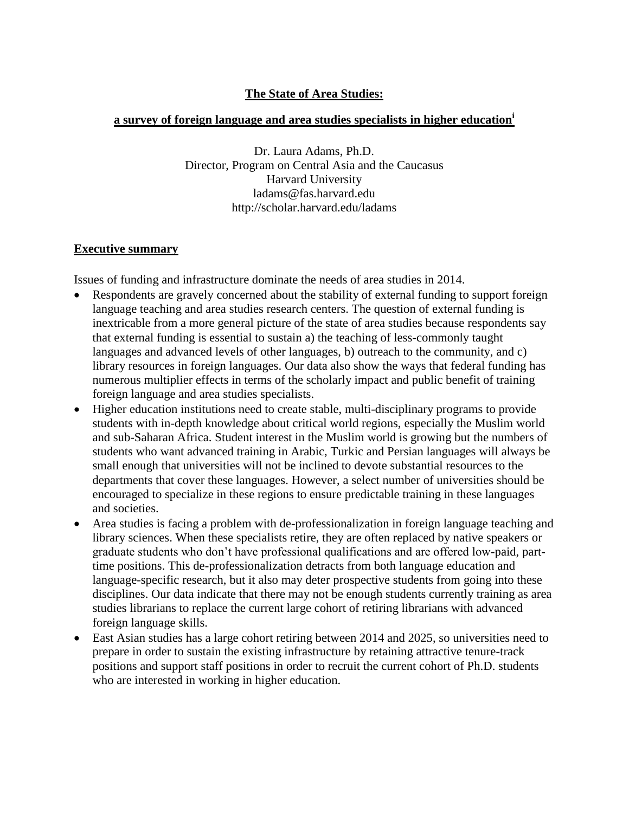# **The State of Area Studies:**

# **a survey of foreign language and area studies specialists in higher education<sup>i</sup>**

Dr. Laura Adams, Ph.D. Director, Program on Central Asia and the Caucasus Harvard University ladams@fas.harvard.edu http://scholar.harvard.edu/ladams

# **Executive summary**

Issues of funding and infrastructure dominate the needs of area studies in 2014.

- Respondents are gravely concerned about the stability of external funding to support foreign language teaching and area studies research centers. The question of external funding is inextricable from a more general picture of the state of area studies because respondents say that external funding is essential to sustain a) the teaching of less-commonly taught languages and advanced levels of other languages, b) outreach to the community, and c) library resources in foreign languages. Our data also show the ways that federal funding has numerous multiplier effects in terms of the scholarly impact and public benefit of training foreign language and area studies specialists.
- Higher education institutions need to create stable, multi-disciplinary programs to provide students with in-depth knowledge about critical world regions, especially the Muslim world and sub-Saharan Africa. Student interest in the Muslim world is growing but the numbers of students who want advanced training in Arabic, Turkic and Persian languages will always be small enough that universities will not be inclined to devote substantial resources to the departments that cover these languages. However, a select number of universities should be encouraged to specialize in these regions to ensure predictable training in these languages and societies.
- Area studies is facing a problem with de-professionalization in foreign language teaching and library sciences. When these specialists retire, they are often replaced by native speakers or graduate students who don't have professional qualifications and are offered low-paid, parttime positions. This de-professionalization detracts from both language education and language-specific research, but it also may deter prospective students from going into these disciplines. Our data indicate that there may not be enough students currently training as area studies librarians to replace the current large cohort of retiring librarians with advanced foreign language skills.
- East Asian studies has a large cohort retiring between 2014 and 2025, so universities need to prepare in order to sustain the existing infrastructure by retaining attractive tenure-track positions and support staff positions in order to recruit the current cohort of Ph.D. students who are interested in working in higher education.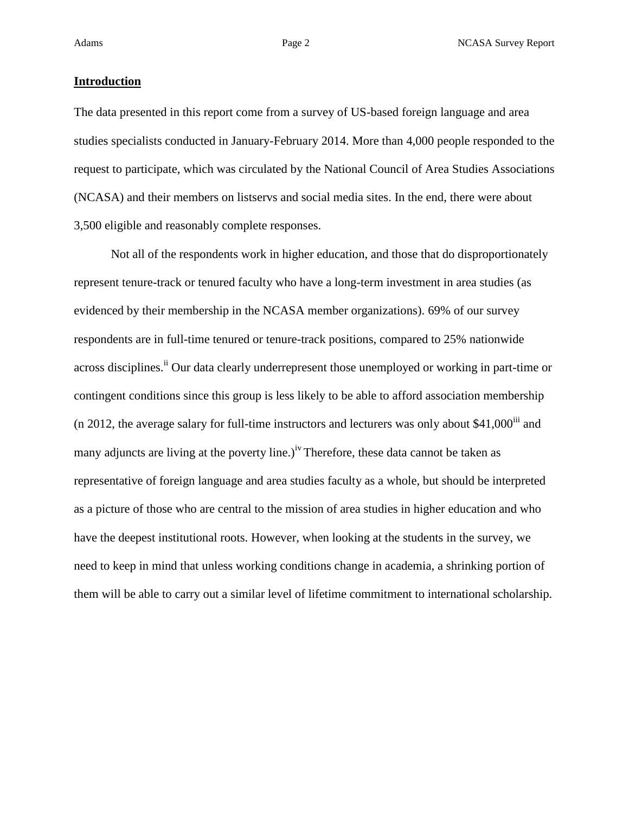### **Introduction**

The data presented in this report come from a survey of US-based foreign language and area studies specialists conducted in January-February 2014. More than 4,000 people responded to the request to participate, which was circulated by the National Council of Area Studies Associations (NCASA) and their members on listservs and social media sites. In the end, there were about 3,500 eligible and reasonably complete responses.

Not all of the respondents work in higher education, and those that do disproportionately represent tenure-track or tenured faculty who have a long-term investment in area studies (as evidenced by their membership in the NCASA member organizations). 69% of our survey respondents are in full-time tenured or tenure-track positions, compared to 25% nationwide across disciplines.<sup>ii</sup> Our data clearly underrepresent those unemployed or working in part-time or contingent conditions since this group is less likely to be able to afford association membership (n 2012, the average salary for full-time instructors and lecturers was only about  $$41,000$ <sup>iii</sup> and many adjuncts are living at the poverty line.)<sup>iv</sup> Therefore, these data cannot be taken as representative of foreign language and area studies faculty as a whole, but should be interpreted as a picture of those who are central to the mission of area studies in higher education and who have the deepest institutional roots. However, when looking at the students in the survey, we need to keep in mind that unless working conditions change in academia, a shrinking portion of them will be able to carry out a similar level of lifetime commitment to international scholarship.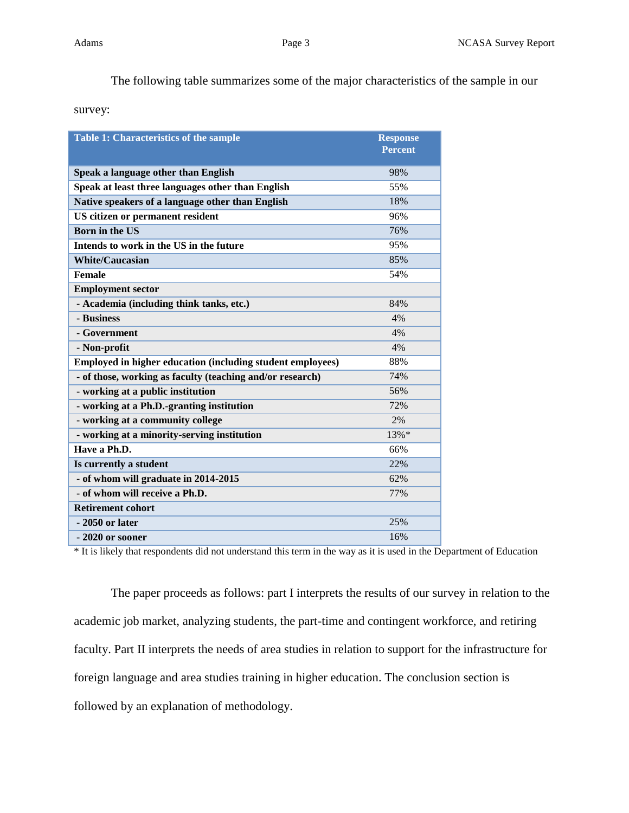The following table summarizes some of the major characteristics of the sample in our

survey:

| <b>Table 1: Characteristics of the sample</b>              | <b>Response</b><br><b>Percent</b> |
|------------------------------------------------------------|-----------------------------------|
| Speak a language other than English                        | 98%                               |
| Speak at least three languages other than English          | 55%                               |
| Native speakers of a language other than English           | 18%                               |
| US citizen or permanent resident                           | 96%                               |
| <b>Born in the US</b>                                      | 76%                               |
| Intends to work in the US in the future                    | 95%                               |
| <b>White/Caucasian</b>                                     | 85%                               |
| Female                                                     | 54%                               |
| <b>Employment sector</b>                                   |                                   |
| - Academia (including think tanks, etc.)                   | 84%                               |
| - Business                                                 | 4%                                |
| - Government                                               | 4%                                |
| - Non-profit                                               | 4%                                |
| Employed in higher education (including student employees) | 88%                               |
| - of those, working as faculty (teaching and/or research)  | 74%                               |
| - working at a public institution                          | 56%                               |
| - working at a Ph.D.-granting institution                  | 72%                               |
| - working at a community college                           | 2%                                |
| - working at a minority-serving institution                | 13%*                              |
| Have a Ph.D.                                               | 66%                               |
| Is currently a student                                     | 22%                               |
| - of whom will graduate in 2014-2015                       | 62%                               |
| - of whom will receive a Ph.D.                             | 77%                               |
| <b>Retirement cohort</b>                                   |                                   |
| - 2050 or later                                            | 25%                               |
| - 2020 or sooner                                           | 16%                               |

\* It is likely that respondents did not understand this term in the way as it is used in the Department of Education

The paper proceeds as follows: part I interprets the results of our survey in relation to the academic job market, analyzing students, the part-time and contingent workforce, and retiring faculty. Part II interprets the needs of area studies in relation to support for the infrastructure for foreign language and area studies training in higher education. The conclusion section is followed by an explanation of methodology.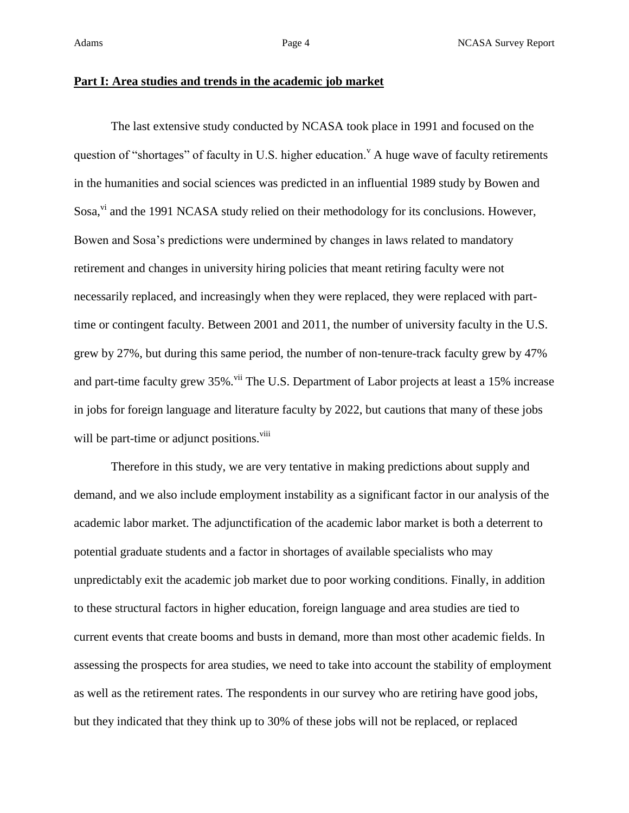### **Part I: Area studies and trends in the academic job market**

The last extensive study conducted by NCASA took place in 1991 and focused on the question of "shortages" of faculty in U.S. higher education." A huge wave of faculty retirements in the humanities and social sciences was predicted in an influential 1989 study by Bowen and Sosa,<sup>vi</sup> and the 1991 NCASA study relied on their methodology for its conclusions. However, Bowen and Sosa's predictions were undermined by changes in laws related to mandatory retirement and changes in university hiring policies that meant retiring faculty were not necessarily replaced, and increasingly when they were replaced, they were replaced with parttime or contingent faculty. Between 2001 and 2011, the number of university faculty in the U.S. grew by 27%, but during this same period, the number of non-tenure-track faculty grew by 47% and part-time faculty grew 35%.<sup>vii</sup> The U.S. Department of Labor projects at least a 15% increase in jobs for foreign language and literature faculty by 2022, but cautions that many of these jobs will be part-time or adjunct positions.<sup>viii</sup>

Therefore in this study, we are very tentative in making predictions about supply and demand, and we also include employment instability as a significant factor in our analysis of the academic labor market. The adjunctification of the academic labor market is both a deterrent to potential graduate students and a factor in shortages of available specialists who may unpredictably exit the academic job market due to poor working conditions. Finally, in addition to these structural factors in higher education, foreign language and area studies are tied to current events that create booms and busts in demand, more than most other academic fields. In assessing the prospects for area studies, we need to take into account the stability of employment as well as the retirement rates. The respondents in our survey who are retiring have good jobs, but they indicated that they think up to 30% of these jobs will not be replaced, or replaced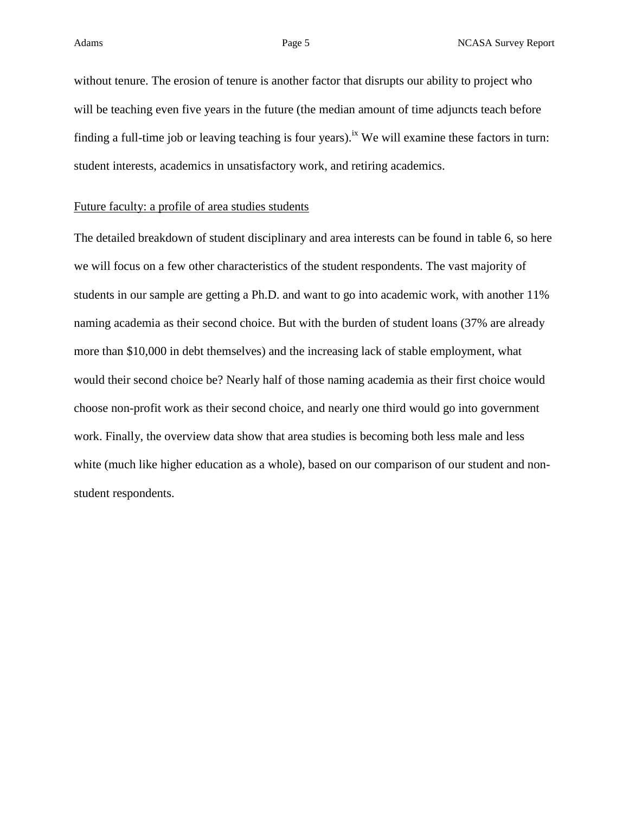without tenure. The erosion of tenure is another factor that disrupts our ability to project who will be teaching even five years in the future (the median amount of time adjuncts teach before finding a full-time job or leaving teaching is four years).<sup>ix</sup> We will examine these factors in turn: student interests, academics in unsatisfactory work, and retiring academics.

### Future faculty: a profile of area studies students

The detailed breakdown of student disciplinary and area interests can be found in table 6, so here we will focus on a few other characteristics of the student respondents. The vast majority of students in our sample are getting a Ph.D. and want to go into academic work, with another 11% naming academia as their second choice. But with the burden of student loans (37% are already more than \$10,000 in debt themselves) and the increasing lack of stable employment, what would their second choice be? Nearly half of those naming academia as their first choice would choose non-profit work as their second choice, and nearly one third would go into government work. Finally, the overview data show that area studies is becoming both less male and less white (much like higher education as a whole), based on our comparison of our student and nonstudent respondents.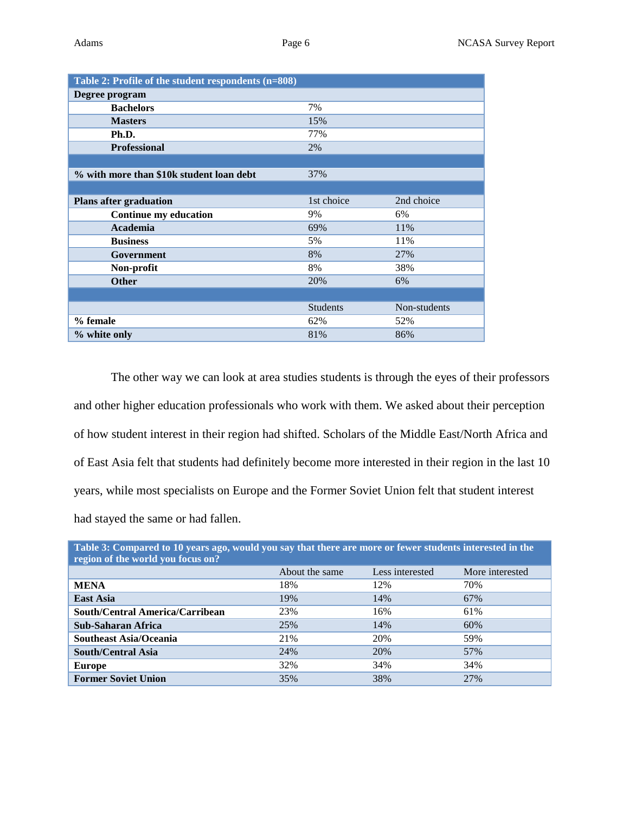| Table 2: Profile of the student respondents (n=808) |                 |              |  |  |  |
|-----------------------------------------------------|-----------------|--------------|--|--|--|
| Degree program                                      |                 |              |  |  |  |
| <b>Bachelors</b>                                    | 7%              |              |  |  |  |
| <b>Masters</b>                                      | 15%             |              |  |  |  |
| Ph.D.                                               | 77%             |              |  |  |  |
| <b>Professional</b>                                 | 2%              |              |  |  |  |
|                                                     |                 |              |  |  |  |
| % with more than \$10k student loan debt            | 37%             |              |  |  |  |
|                                                     |                 |              |  |  |  |
| <b>Plans after graduation</b>                       | 1st choice      | 2nd choice   |  |  |  |
| <b>Continue my education</b>                        | 9%              | 6%           |  |  |  |
| Academia                                            | 69%             | 11%          |  |  |  |
| <b>Business</b>                                     | 5%              | 11%          |  |  |  |
| Government                                          | 8%              | 27%          |  |  |  |
| Non-profit                                          | 8%              | 38%          |  |  |  |
| <b>Other</b>                                        | 20%             | 6%           |  |  |  |
|                                                     |                 |              |  |  |  |
|                                                     | <b>Students</b> | Non-students |  |  |  |
| % female                                            | 62%             | 52%          |  |  |  |
| % white only                                        | 81%             | 86%          |  |  |  |

The other way we can look at area studies students is through the eyes of their professors and other higher education professionals who work with them. We asked about their perception of how student interest in their region had shifted. Scholars of the Middle East/North Africa and of East Asia felt that students had definitely become more interested in their region in the last 10 years, while most specialists on Europe and the Former Soviet Union felt that student interest had stayed the same or had fallen.

| Table 3: Compared to 10 years ago, would you say that there are more or fewer students interested in the<br>region of the world you focus on? |                |                 |                 |  |  |
|-----------------------------------------------------------------------------------------------------------------------------------------------|----------------|-----------------|-----------------|--|--|
|                                                                                                                                               | About the same | Less interested | More interested |  |  |
| <b>MENA</b>                                                                                                                                   | 18%            | 12%             | 70%             |  |  |
| <b>East Asia</b>                                                                                                                              | 19%            | 14%             | 67%             |  |  |
| South/Central America/Carribean                                                                                                               | 23%            | 16%             | 61%             |  |  |
| <b>Sub-Saharan Africa</b>                                                                                                                     | 25%            | 14%             | 60%             |  |  |
| <b>Southeast Asia/Oceania</b>                                                                                                                 | 21%            | 20%             | 59%             |  |  |
| <b>South/Central Asia</b>                                                                                                                     | 24%            | 20%             | 57%             |  |  |
| <b>Europe</b>                                                                                                                                 | 32%            | 34%             | 34%             |  |  |
| <b>Former Soviet Union</b>                                                                                                                    | 35%            | 38%             | 27%             |  |  |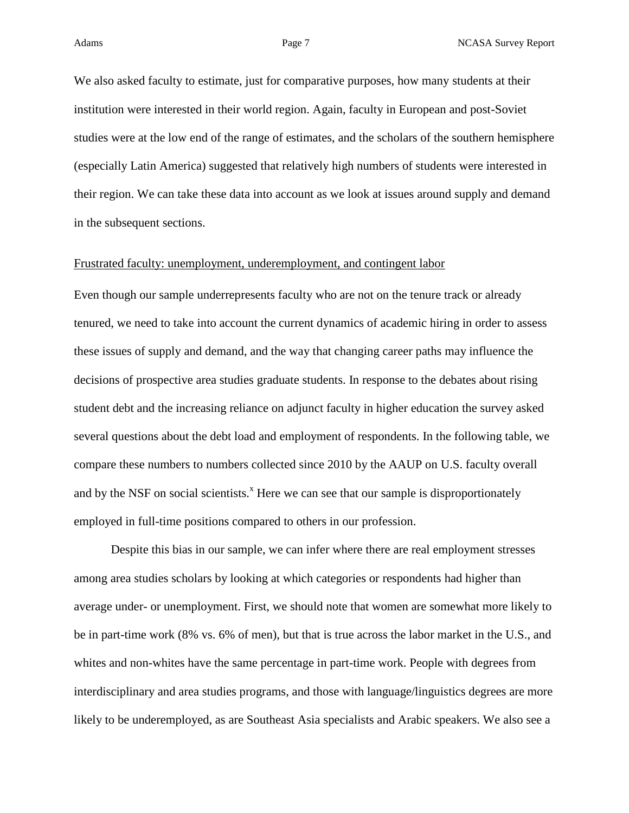Adams **Page 7** Page 7 **NCASA Survey Report** 

We also asked faculty to estimate, just for comparative purposes, how many students at their institution were interested in their world region. Again, faculty in European and post-Soviet studies were at the low end of the range of estimates, and the scholars of the southern hemisphere (especially Latin America) suggested that relatively high numbers of students were interested in their region. We can take these data into account as we look at issues around supply and demand in the subsequent sections.

### Frustrated faculty: unemployment, underemployment, and contingent labor

Even though our sample underrepresents faculty who are not on the tenure track or already tenured, we need to take into account the current dynamics of academic hiring in order to assess these issues of supply and demand, and the way that changing career paths may influence the decisions of prospective area studies graduate students. In response to the debates about rising student debt and the increasing reliance on adjunct faculty in higher education the survey asked several questions about the debt load and employment of respondents. In the following table, we compare these numbers to numbers collected since 2010 by the AAUP on U.S. faculty overall and by the NSF on social scientists.<sup>x</sup> Here we can see that our sample is disproportionately employed in full-time positions compared to others in our profession.

Despite this bias in our sample, we can infer where there are real employment stresses among area studies scholars by looking at which categories or respondents had higher than average under- or unemployment. First, we should note that women are somewhat more likely to be in part-time work (8% vs. 6% of men), but that is true across the labor market in the U.S., and whites and non-whites have the same percentage in part-time work. People with degrees from interdisciplinary and area studies programs, and those with language/linguistics degrees are more likely to be underemployed, as are Southeast Asia specialists and Arabic speakers. We also see a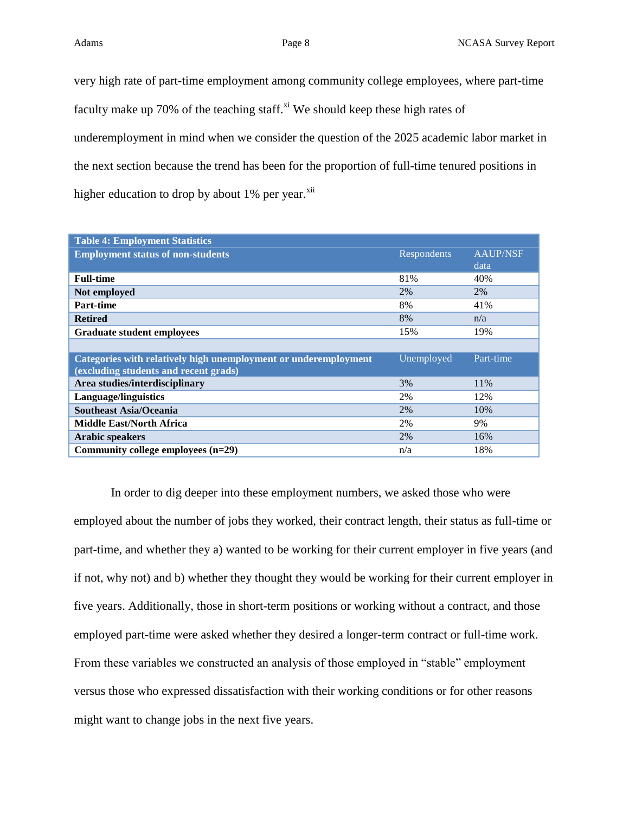very high rate of part-time employment among community college employees, where part-time faculty make up 70% of the teaching staff. $x^i$  We should keep these high rates of underemployment in mind when we consider the question of the 2025 academic labor market in the next section because the trend has been for the proportion of full-time tenured positions in higher education to drop by about  $1\%$  per year. $x$ <sup>ii</sup>

| <b>Table 4: Employment Statistics</b>                           |             |                 |
|-----------------------------------------------------------------|-------------|-----------------|
| <b>Employment status of non-students</b>                        | Respondents | <b>AAUP/NSF</b> |
|                                                                 |             | data            |
| <b>Full-time</b>                                                | 81%         | 40%             |
| Not employed                                                    | 2%          | 2%              |
| Part-time                                                       | 8%          | 41%             |
| <b>Retired</b>                                                  | 8%          | n/a             |
| <b>Graduate student employees</b>                               | 15%         | 19%             |
|                                                                 |             |                 |
| Categories with relatively high unemployment or underemployment | Unemployed  | Part-time       |
| (excluding students and recent grads)                           |             |                 |
| Area studies/interdisciplinary                                  | 3%          | 11%             |
| <b>Language/linguistics</b>                                     | 2%          | 12%             |
| <b>Southeast Asia/Oceania</b>                                   | 2%          | 10%             |
| <b>Middle East/North Africa</b>                                 | 2%          | 9%              |
| <b>Arabic speakers</b>                                          | 2%          | 16%             |
| Community college employees $(n=29)$                            | n/a         | 18%             |

In order to dig deeper into these employment numbers, we asked those who were employed about the number of jobs they worked, their contract length, their status as full-time or part-time, and whether they a) wanted to be working for their current employer in five years (and if not, why not) and b) whether they thought they would be working for their current employer in five years. Additionally, those in short-term positions or working without a contract, and those employed part-time were asked whether they desired a longer-term contract or full-time work. From these variables we constructed an analysis of those employed in "stable" employment versus those who expressed dissatisfaction with their working conditions or for other reasons might want to change jobs in the next five years.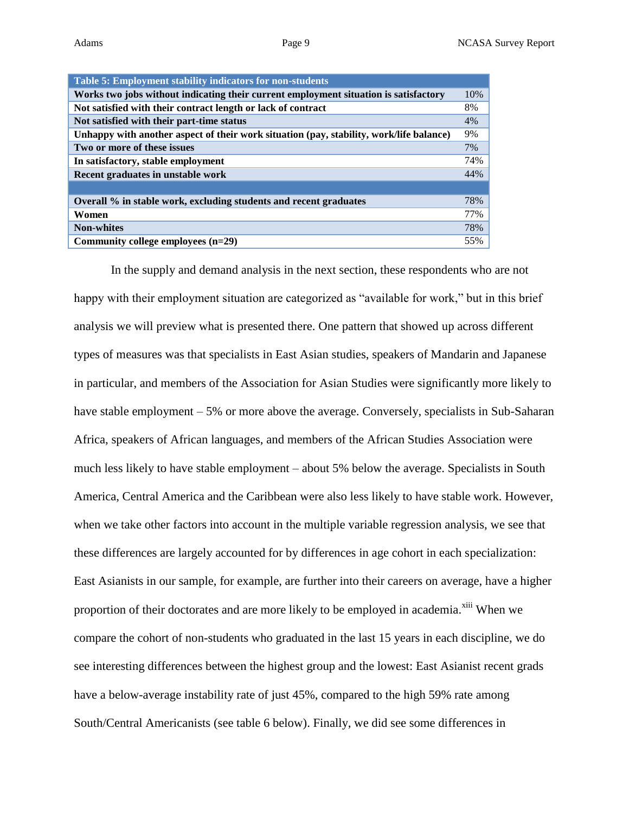| Table 5: Employment stability indicators for non-students                               |     |
|-----------------------------------------------------------------------------------------|-----|
| Works two jobs without indicating their current employment situation is satisfactory    | 10% |
| Not satisfied with their contract length or lack of contract                            | 8%  |
| Not satisfied with their part-time status                                               | 4%  |
| Unhappy with another aspect of their work situation (pay, stability, work/life balance) | 9%  |
| Two or more of these issues                                                             | 7%  |
| In satisfactory, stable employment                                                      | 74% |
| Recent graduates in unstable work                                                       | 44% |
|                                                                                         |     |
| Overall % in stable work, excluding students and recent graduates                       | 78% |
| Women                                                                                   | 77% |
| <b>Non-whites</b>                                                                       | 78% |
| Community college employees $(n=29)$                                                    | 55% |

In the supply and demand analysis in the next section, these respondents who are not happy with their employment situation are categorized as "available for work," but in this brief analysis we will preview what is presented there. One pattern that showed up across different types of measures was that specialists in East Asian studies, speakers of Mandarin and Japanese in particular, and members of the Association for Asian Studies were significantly more likely to have stable employment – 5% or more above the average. Conversely, specialists in Sub-Saharan Africa, speakers of African languages, and members of the African Studies Association were much less likely to have stable employment – about 5% below the average. Specialists in South America, Central America and the Caribbean were also less likely to have stable work. However, when we take other factors into account in the multiple variable regression analysis, we see that these differences are largely accounted for by differences in age cohort in each specialization: East Asianists in our sample, for example, are further into their careers on average, have a higher proportion of their doctorates and are more likely to be employed in academia.<sup>xiii</sup> When we compare the cohort of non-students who graduated in the last 15 years in each discipline, we do see interesting differences between the highest group and the lowest: East Asianist recent grads have a below-average instability rate of just 45%, compared to the high 59% rate among South/Central Americanists (see table 6 below). Finally, we did see some differences in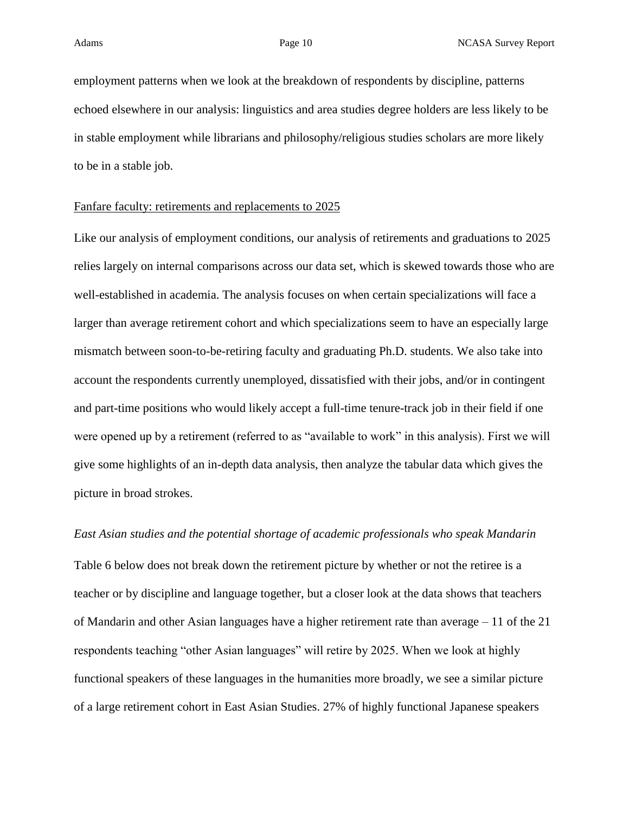employment patterns when we look at the breakdown of respondents by discipline, patterns echoed elsewhere in our analysis: linguistics and area studies degree holders are less likely to be in stable employment while librarians and philosophy/religious studies scholars are more likely to be in a stable job.

### Fanfare faculty: retirements and replacements to 2025

Like our analysis of employment conditions, our analysis of retirements and graduations to 2025 relies largely on internal comparisons across our data set, which is skewed towards those who are well-established in academia. The analysis focuses on when certain specializations will face a larger than average retirement cohort and which specializations seem to have an especially large mismatch between soon-to-be-retiring faculty and graduating Ph.D. students. We also take into account the respondents currently unemployed, dissatisfied with their jobs, and/or in contingent and part-time positions who would likely accept a full-time tenure-track job in their field if one were opened up by a retirement (referred to as "available to work" in this analysis). First we will give some highlights of an in-depth data analysis, then analyze the tabular data which gives the picture in broad strokes.

# *East Asian studies and the potential shortage of academic professionals who speak Mandarin*

Table 6 below does not break down the retirement picture by whether or not the retiree is a teacher or by discipline and language together, but a closer look at the data shows that teachers of Mandarin and other Asian languages have a higher retirement rate than average – 11 of the 21 respondents teaching "other Asian languages" will retire by 2025. When we look at highly functional speakers of these languages in the humanities more broadly, we see a similar picture of a large retirement cohort in East Asian Studies. 27% of highly functional Japanese speakers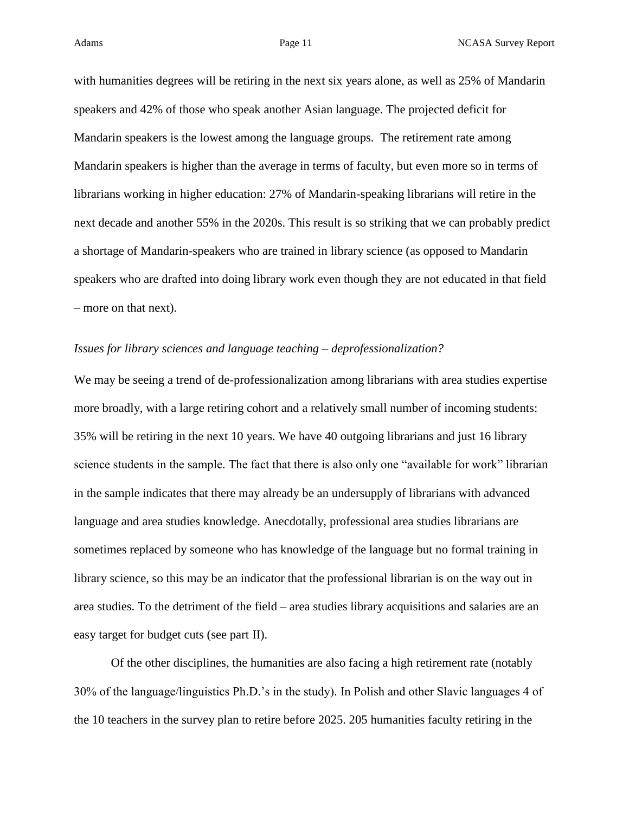with humanities degrees will be retiring in the next six years alone, as well as 25% of Mandarin speakers and 42% of those who speak another Asian language. The projected deficit for Mandarin speakers is the lowest among the language groups. The retirement rate among Mandarin speakers is higher than the average in terms of faculty, but even more so in terms of librarians working in higher education: 27% of Mandarin-speaking librarians will retire in the next decade and another 55% in the 2020s. This result is so striking that we can probably predict a shortage of Mandarin-speakers who are trained in library science (as opposed to Mandarin speakers who are drafted into doing library work even though they are not educated in that field – more on that next).

### *Issues for library sciences and language teaching – deprofessionalization?*

We may be seeing a trend of de-professionalization among librarians with area studies expertise more broadly, with a large retiring cohort and a relatively small number of incoming students: 35% will be retiring in the next 10 years. We have 40 outgoing librarians and just 16 library science students in the sample. The fact that there is also only one "available for work" librarian in the sample indicates that there may already be an undersupply of librarians with advanced language and area studies knowledge. Anecdotally, professional area studies librarians are sometimes replaced by someone who has knowledge of the language but no formal training in library science, so this may be an indicator that the professional librarian is on the way out in area studies. To the detriment of the field – area studies library acquisitions and salaries are an easy target for budget cuts (see part II).

Of the other disciplines, the humanities are also facing a high retirement rate (notably 30% of the language/linguistics Ph.D.'s in the study). In Polish and other Slavic languages 4 of the 10 teachers in the survey plan to retire before 2025. 205 humanities faculty retiring in the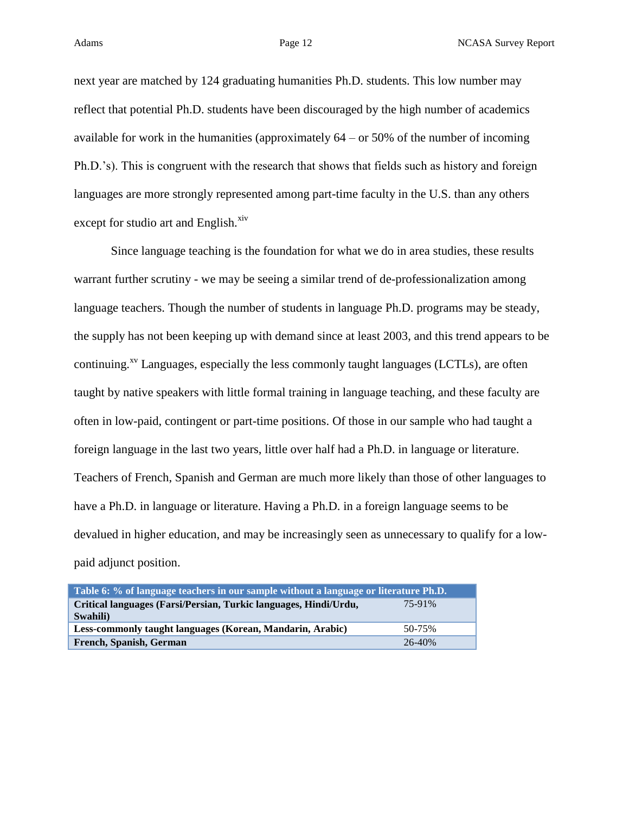Adams **Page 12** Page 12 NCASA Survey Report

next year are matched by 124 graduating humanities Ph.D. students. This low number may reflect that potential Ph.D. students have been discouraged by the high number of academics available for work in the humanities (approximately  $64 - or 50\%$  of the number of incoming Ph.D.'s). This is congruent with the research that shows that fields such as history and foreign languages are more strongly represented among part-time faculty in the U.S. than any others except for studio art and English. $\frac{xiv}{x}$ 

Since language teaching is the foundation for what we do in area studies, these results warrant further scrutiny - we may be seeing a similar trend of de-professionalization among language teachers. Though the number of students in language Ph.D. programs may be steady, the supply has not been keeping up with demand since at least 2003, and this trend appears to be continuing. $x^y$  Languages, especially the less commonly taught languages (LCTLs), are often taught by native speakers with little formal training in language teaching, and these faculty are often in low-paid, contingent or part-time positions. Of those in our sample who had taught a foreign language in the last two years, little over half had a Ph.D. in language or literature. Teachers of French, Spanish and German are much more likely than those of other languages to have a Ph.D. in language or literature. Having a Ph.D. in a foreign language seems to be devalued in higher education, and may be increasingly seen as unnecessary to qualify for a lowpaid adjunct position.

| Table 6: % of language teachers in our sample without a language or literature Ph.D. |        |  |  |  |
|--------------------------------------------------------------------------------------|--------|--|--|--|
| Critical languages (Farsi/Persian, Turkic languages, Hindi/Urdu,                     | 75-91% |  |  |  |
| Swahili)                                                                             |        |  |  |  |
| Less-commonly taught languages (Korean, Mandarin, Arabic)                            | 50-75% |  |  |  |
| French, Spanish, German                                                              | 26-40% |  |  |  |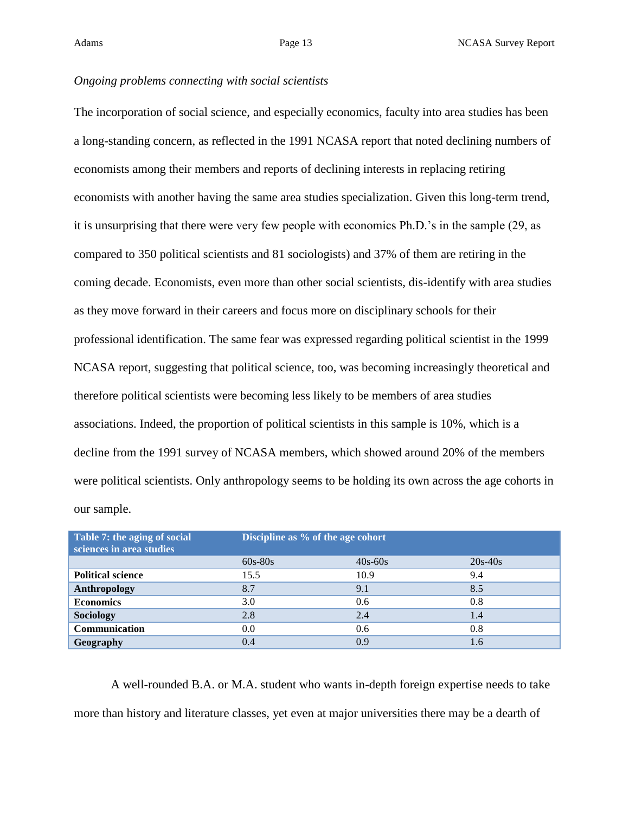### *Ongoing problems connecting with social scientists*

The incorporation of social science, and especially economics, faculty into area studies has been a long-standing concern, as reflected in the 1991 NCASA report that noted declining numbers of economists among their members and reports of declining interests in replacing retiring economists with another having the same area studies specialization. Given this long-term trend, it is unsurprising that there were very few people with economics Ph.D.'s in the sample (29, as compared to 350 political scientists and 81 sociologists) and 37% of them are retiring in the coming decade. Economists, even more than other social scientists, dis-identify with area studies as they move forward in their careers and focus more on disciplinary schools for their professional identification. The same fear was expressed regarding political scientist in the 1999 NCASA report, suggesting that political science, too, was becoming increasingly theoretical and therefore political scientists were becoming less likely to be members of area studies associations. Indeed, the proportion of political scientists in this sample is 10%, which is a decline from the 1991 survey of NCASA members, which showed around 20% of the members were political scientists. Only anthropology seems to be holding its own across the age cohorts in our sample.

| Table 7: the aging of social<br>sciences in area studies | Discipline as % of the age cohort |           |           |  |  |
|----------------------------------------------------------|-----------------------------------|-----------|-----------|--|--|
|                                                          | $60s-80s$                         | $40s-60s$ | $20s-40s$ |  |  |
| <b>Political science</b>                                 | 15.5                              | 10.9      | 9.4       |  |  |
| Anthropology                                             | 8.7                               | 9.1       | 8.5       |  |  |
| <b>Economics</b>                                         | 3.0                               | 0.6       | 0.8       |  |  |
| Sociology                                                | 2.8                               | 2.4       | 1.4       |  |  |
| Communication                                            | 0.0                               | 0.6       | 0.8       |  |  |
| Geography                                                | 0.4                               | 0.9       | 1.6       |  |  |

A well-rounded B.A. or M.A. student who wants in-depth foreign expertise needs to take more than history and literature classes, yet even at major universities there may be a dearth of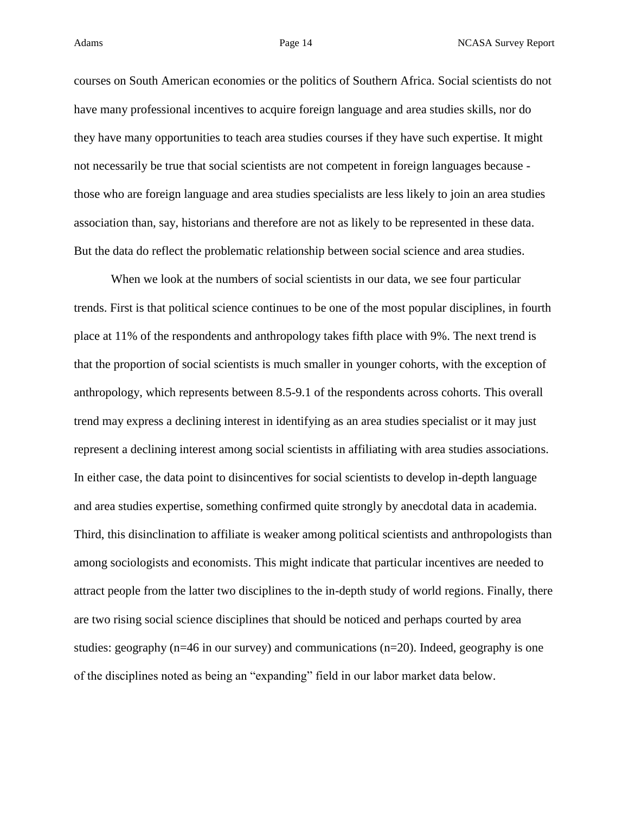courses on South American economies or the politics of Southern Africa. Social scientists do not have many professional incentives to acquire foreign language and area studies skills, nor do they have many opportunities to teach area studies courses if they have such expertise. It might not necessarily be true that social scientists are not competent in foreign languages because those who are foreign language and area studies specialists are less likely to join an area studies association than, say, historians and therefore are not as likely to be represented in these data. But the data do reflect the problematic relationship between social science and area studies.

When we look at the numbers of social scientists in our data, we see four particular trends. First is that political science continues to be one of the most popular disciplines, in fourth place at 11% of the respondents and anthropology takes fifth place with 9%. The next trend is that the proportion of social scientists is much smaller in younger cohorts, with the exception of anthropology, which represents between 8.5-9.1 of the respondents across cohorts. This overall trend may express a declining interest in identifying as an area studies specialist or it may just represent a declining interest among social scientists in affiliating with area studies associations. In either case, the data point to disincentives for social scientists to develop in-depth language and area studies expertise, something confirmed quite strongly by anecdotal data in academia. Third, this disinclination to affiliate is weaker among political scientists and anthropologists than among sociologists and economists. This might indicate that particular incentives are needed to attract people from the latter two disciplines to the in-depth study of world regions. Finally, there are two rising social science disciplines that should be noticed and perhaps courted by area studies: geography ( $n=46$  in our survey) and communications  $(n=20)$ . Indeed, geography is one of the disciplines noted as being an "expanding" field in our labor market data below.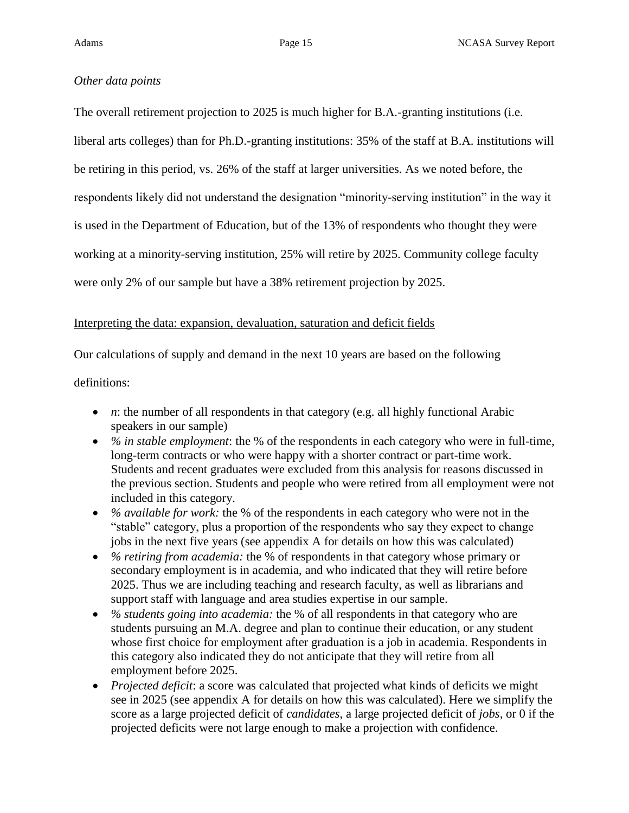# *Other data points*

The overall retirement projection to 2025 is much higher for B.A.-granting institutions (i.e. liberal arts colleges) than for Ph.D.-granting institutions: 35% of the staff at B.A. institutions will be retiring in this period, vs. 26% of the staff at larger universities. As we noted before, the respondents likely did not understand the designation "minority-serving institution" in the way it is used in the Department of Education, but of the 13% of respondents who thought they were working at a minority-serving institution, 25% will retire by 2025. Community college faculty were only 2% of our sample but have a 38% retirement projection by 2025.

# Interpreting the data: expansion, devaluation, saturation and deficit fields

Our calculations of supply and demand in the next 10 years are based on the following

definitions:

- *n*: the number of all respondents in that category (e.g. all highly functional Arabic speakers in our sample)
- *% in stable employment*: the % of the respondents in each category who were in full-time, long-term contracts or who were happy with a shorter contract or part-time work. Students and recent graduates were excluded from this analysis for reasons discussed in the previous section. Students and people who were retired from all employment were not included in this category.
- *% available for work:* the % of the respondents in each category who were not in the "stable" category, plus a proportion of the respondents who say they expect to change jobs in the next five years (see appendix A for details on how this was calculated)
- *% retiring from academia:* the % of respondents in that category whose primary or secondary employment is in academia, and who indicated that they will retire before 2025. Thus we are including teaching and research faculty, as well as librarians and support staff with language and area studies expertise in our sample.
- *% students going into academia:* the % of all respondents in that category who are students pursuing an M.A. degree and plan to continue their education, or any student whose first choice for employment after graduation is a job in academia. Respondents in this category also indicated they do not anticipate that they will retire from all employment before 2025.
- *Projected deficit*: a score was calculated that projected what kinds of deficits we might see in 2025 (see appendix A for details on how this was calculated). Here we simplify the score as a large projected deficit of *candidates*, a large projected deficit of *jobs,* or 0 if the projected deficits were not large enough to make a projection with confidence.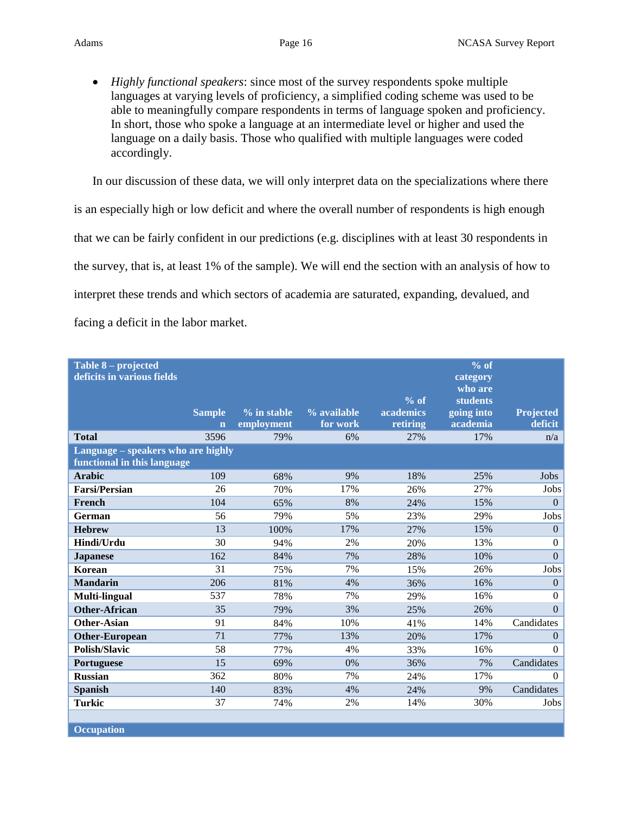*Highly functional speakers*: since most of the survey respondents spoke multiple languages at varying levels of proficiency, a simplified coding scheme was used to be able to meaningfully compare respondents in terms of language spoken and proficiency. In short, those who spoke a language at an intermediate level or higher and used the language on a daily basis. Those who qualified with multiple languages were coded accordingly.

In our discussion of these data, we will only interpret data on the specializations where there is an especially high or low deficit and where the overall number of respondents is high enough that we can be fairly confident in our predictions (e.g. disciplines with at least 30 respondents in the survey, that is, at least 1% of the sample). We will end the section with an analysis of how to interpret these trends and which sectors of academia are saturated, expanding, devalued, and facing a deficit in the labor market.

| Table 8 – projected<br>deficits in various fields                 | <b>Sample</b><br>$\mathbf n$ | $%$ in stable<br>employment | % available<br>for work | $%$ of<br>academics<br>retiring | $\sqrt[9]{\circ \text{of}}$<br>category<br>who are<br><b>students</b><br>going into<br>academia | <b>Projected</b><br>deficit |
|-------------------------------------------------------------------|------------------------------|-----------------------------|-------------------------|---------------------------------|-------------------------------------------------------------------------------------------------|-----------------------------|
| <b>Total</b>                                                      | 3596                         | 79%                         | 6%                      | 27%                             | 17%                                                                                             | n/a                         |
| Language – speakers who are highly<br>functional in this language |                              |                             |                         |                                 |                                                                                                 |                             |
| <b>Arabic</b>                                                     | 109                          | 68%                         | 9%                      | 18%                             | 25%                                                                                             | <b>Jobs</b>                 |
| <b>Farsi/Persian</b>                                              | 26                           | 70%                         | 17%                     | 26%                             | 27%                                                                                             | Jobs                        |
| French                                                            | 104                          | 65%                         | 8%                      | 24%                             | 15%                                                                                             | $\mathbf{0}$                |
| German                                                            | 56                           | 79%                         | 5%                      | 23%                             | 29%                                                                                             | Jobs                        |
| <b>Hebrew</b>                                                     | 13                           | 100%                        | 17%                     | 27%                             | 15%                                                                                             | $\Omega$                    |
| Hindi/Urdu                                                        | 30                           | 94%                         | 2%                      | 20%                             | 13%                                                                                             | $\overline{0}$              |
| <b>Japanese</b>                                                   | 162                          | 84%                         | 7%                      | 28%                             | 10%                                                                                             | $\Omega$                    |
| Korean                                                            | 31                           | 75%                         | 7%                      | 15%                             | 26%                                                                                             | Jobs                        |
| <b>Mandarin</b>                                                   | 206                          | 81%                         | 4%                      | 36%                             | 16%                                                                                             | $\mathbf{0}$                |
| Multi-lingual                                                     | 537                          | 78%                         | 7%                      | 29%                             | 16%                                                                                             | $\Omega$                    |
| <b>Other-African</b>                                              | 35                           | 79%                         | 3%                      | 25%                             | 26%                                                                                             | $\Omega$                    |
| <b>Other-Asian</b>                                                | 91                           | 84%                         | 10%                     | 41%                             | 14%                                                                                             | Candidates                  |
| <b>Other-European</b>                                             | 71                           | 77%                         | 13%                     | 20%                             | 17%                                                                                             | $\Omega$                    |
| <b>Polish/Slavic</b>                                              | 58                           | 77%                         | 4%                      | 33%                             | 16%                                                                                             | $\Omega$                    |
| Portuguese                                                        | 15                           | 69%                         | 0%                      | 36%                             | 7%                                                                                              | Candidates                  |
| <b>Russian</b>                                                    | 362                          | 80%                         | 7%                      | 24%                             | 17%                                                                                             | $\Omega$                    |
| Spanish                                                           | 140                          | 83%                         | 4%                      | 24%                             | 9%                                                                                              | Candidates                  |
| <b>Turkic</b>                                                     | 37                           | 74%                         | 2%                      | 14%                             | 30%                                                                                             | Jobs                        |
|                                                                   |                              |                             |                         |                                 |                                                                                                 |                             |

**Occupation**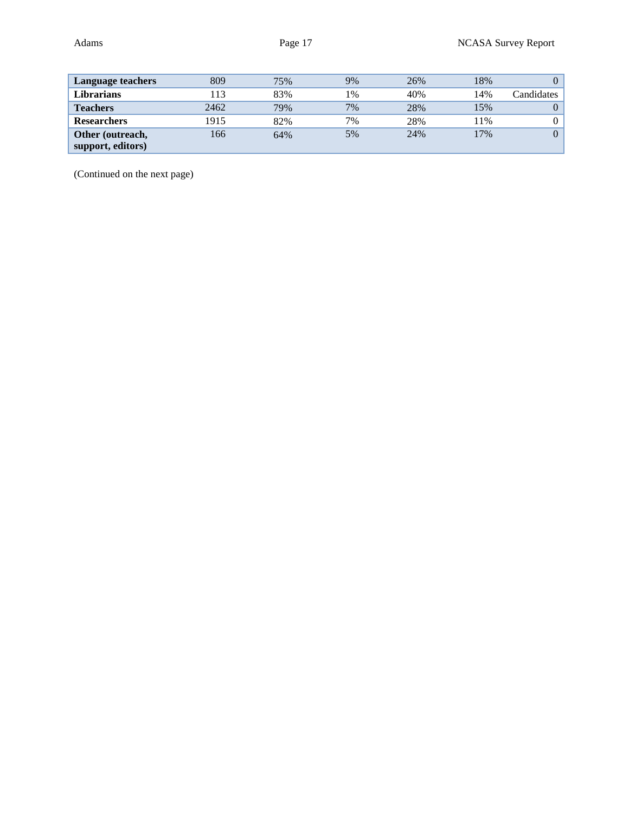| <b>Language teachers</b> | 809  | 75% | 9% | 26% | 18% | 0              |
|--------------------------|------|-----|----|-----|-----|----------------|
| Librarians               | 13   | 83% | 1% | 40% | 14% | Candidates     |
| <b>Teachers</b>          | 2462 | 79% | 7% | 28% | 15% | $\theta$       |
| <b>Researchers</b>       | 1915 | 82% | 7% | 28% | 11% |                |
| Other (outreach,         | 166  | 64% | 5% | 24% | 17% | $\overline{0}$ |
| support, editors)        |      |     |    |     |     |                |

(Continued on the next page)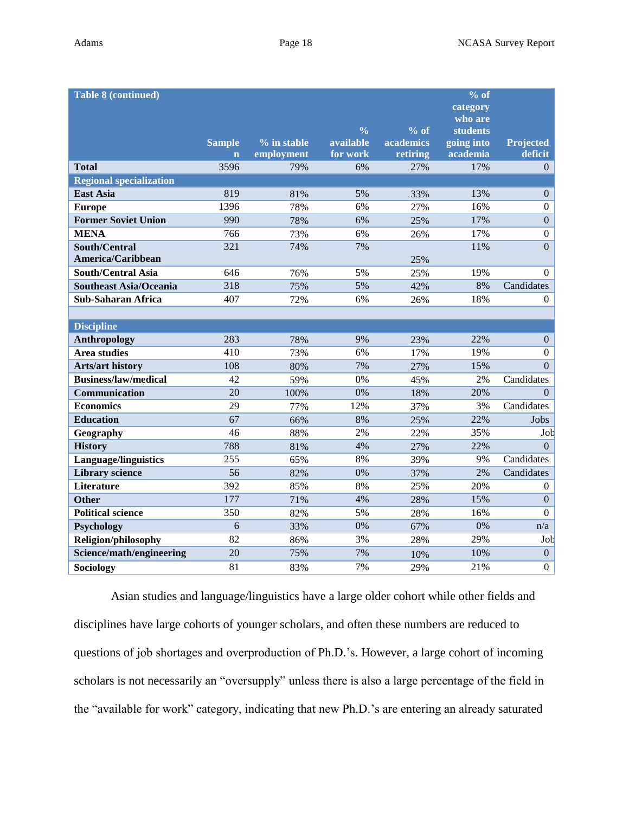| <b>Table 8 (continued)</b>     |                         |               |               |           | % of                       |                  |
|--------------------------------|-------------------------|---------------|---------------|-----------|----------------------------|------------------|
|                                |                         |               |               |           | category                   |                  |
|                                |                         |               | $\frac{0}{0}$ | $%$ of    | who are<br><b>students</b> |                  |
|                                | <b>Sample</b>           | $%$ in stable | available     | academics | going into                 | <b>Projected</b> |
|                                | $\overline{\mathbf{n}}$ | employment    | for work      | retiring  | academia                   | deficit          |
| <b>Total</b>                   | 3596                    | 79%           | 6%            | 27%       | 17%                        | $\Omega$         |
| <b>Regional specialization</b> |                         |               |               |           |                            |                  |
| <b>East Asia</b>               | 819                     | 81%           | 5%            | 33%       | 13%                        | $\Omega$         |
| <b>Europe</b>                  | 1396                    | 78%           | 6%            | 27%       | 16%                        | $\Omega$         |
| <b>Former Soviet Union</b>     | 990                     | 78%           | 6%            | 25%       | 17%                        | $\overline{0}$   |
| <b>MENA</b>                    | 766                     | 73%           | 6%            | 26%       | 17%                        | $\overline{0}$   |
| South/Central                  | 321                     | 74%           | 7%            |           | 11%                        | $\mathbf{0}$     |
| America/Caribbean              |                         |               |               | 25%       |                            |                  |
| <b>South/Central Asia</b>      | 646                     | 76%           | 5%            | 25%       | 19%                        | $\Omega$         |
| <b>Southeast Asia/Oceania</b>  | 318                     | 75%           | 5%            | 42%       | 8%                         | Candidates       |
| <b>Sub-Saharan Africa</b>      | 407                     | 72%           | 6%            | 26%       | 18%                        | $\Omega$         |
|                                |                         |               |               |           |                            |                  |
| <b>Discipline</b>              |                         |               |               |           |                            |                  |
| Anthropology                   | 283                     | 78%           | 9%            | 23%       | 22%                        | $\theta$         |
| <b>Area studies</b>            | 410                     | 73%           | 6%            | 17%       | 19%                        | $\Omega$         |
| <b>Arts/art history</b>        | 108                     | 80%           | 7%            | 27%       | 15%                        | $\Omega$         |
| <b>Business/law/medical</b>    | 42                      | 59%           | 0%            | 45%       | 2%                         | Candidates       |
| Communication                  | 20                      | 100%          | 0%            | 18%       | 20%                        | $\Omega$         |
| <b>Economics</b>               | 29                      | 77%           | 12%           | 37%       | 3%                         | Candidates       |
| <b>Education</b>               | 67                      | 66%           | 8%            | 25%       | 22%                        | Jobs             |
| Geography                      | 46                      | 88%           | 2%            | 22%       | 35%                        | Job              |
| <b>History</b>                 | 788                     | 81%           | 4%            | 27%       | 22%                        | $\Omega$         |
| <b>Language/linguistics</b>    | 255                     | 65%           | 8%            | 39%       | 9%                         | Candidates       |
| <b>Library science</b>         | 56                      | 82%           | 0%            | 37%       | 2%                         | Candidates       |
| <b>Literature</b>              | 392                     | 85%           | 8%            | 25%       | 20%                        | $\Omega$         |
| <b>Other</b>                   | 177                     | 71%           | 4%            | 28%       | 15%                        | $\overline{0}$   |
| <b>Political science</b>       | 350                     | 82%           | 5%            | 28%       | 16%                        | $\Omega$         |
| Psychology                     | 6                       | 33%           | 0%            | 67%       | 0%                         | n/a              |
| Religion/philosophy            | 82                      | 86%           | 3%            | 28%       | 29%                        | Job              |
| Science/math/engineering       | 20                      | 75%           | 7%            | 10%       | 10%                        | $\overline{0}$   |
| Sociology                      | 81                      | 83%           | 7%            | 29%       | 21%                        | $\boldsymbol{0}$ |

Asian studies and language/linguistics have a large older cohort while other fields and disciplines have large cohorts of younger scholars, and often these numbers are reduced to questions of job shortages and overproduction of Ph.D.'s. However, a large cohort of incoming scholars is not necessarily an "oversupply" unless there is also a large percentage of the field in the "available for work" category, indicating that new Ph.D.'s are entering an already saturated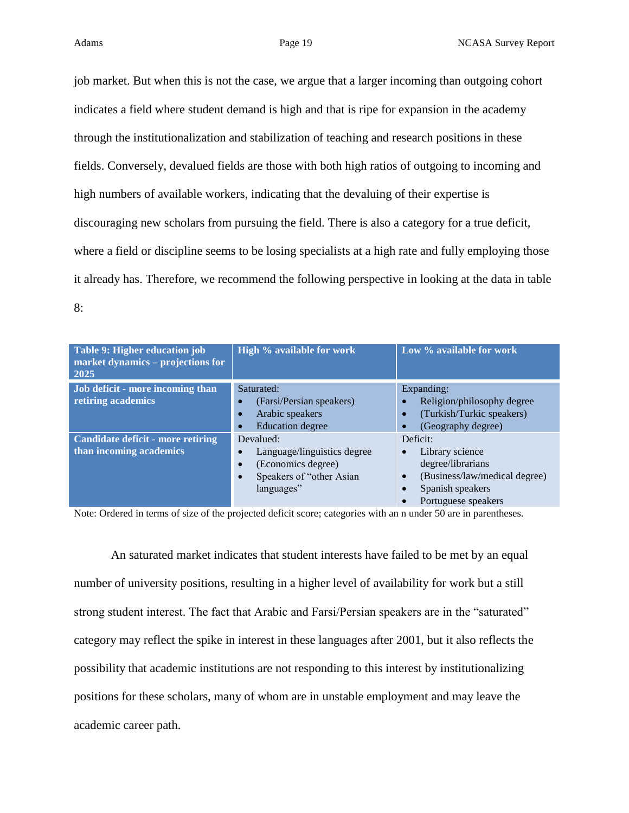job market. But when this is not the case, we argue that a larger incoming than outgoing cohort indicates a field where student demand is high and that is ripe for expansion in the academy through the institutionalization and stabilization of teaching and research positions in these fields. Conversely, devalued fields are those with both high ratios of outgoing to incoming and high numbers of available workers, indicating that the devaluing of their expertise is discouraging new scholars from pursuing the field. There is also a category for a true deficit, where a field or discipline seems to be losing specialists at a high rate and fully employing those it already has. Therefore, we recommend the following perspective in looking at the data in table 8:

| Table 9: Higher education job<br>market dynamics – projections for<br>2025 | High % available for work                                                                                | Low % available for work                                                                                                                               |
|----------------------------------------------------------------------------|----------------------------------------------------------------------------------------------------------|--------------------------------------------------------------------------------------------------------------------------------------------------------|
| Job deficit - more incoming than<br>retiring academics                     | Saturated:<br>(Farsi/Persian speakers)<br>Arabic speakers<br>$\bullet$<br><b>Education</b> degree        | Expanding:<br>Religion/philosophy degree<br>(Turkish/Turkic speakers)<br>(Geography degree)                                                            |
| Candidate deficit - more retiring<br>than incoming academics               | Devalued:<br>Language/linguistics degree<br>(Economics degree)<br>Speakers of "other Asian<br>languages" | Deficit:<br>Library science<br>$\bullet$<br>degree/librarians<br>(Business/law/medical degree)<br>$\bullet$<br>Spanish speakers<br>Portuguese speakers |

Note: Ordered in terms of size of the projected deficit score; categories with an n under 50 are in parentheses.

An saturated market indicates that student interests have failed to be met by an equal number of university positions, resulting in a higher level of availability for work but a still strong student interest. The fact that Arabic and Farsi/Persian speakers are in the "saturated" category may reflect the spike in interest in these languages after 2001, but it also reflects the possibility that academic institutions are not responding to this interest by institutionalizing positions for these scholars, many of whom are in unstable employment and may leave the academic career path.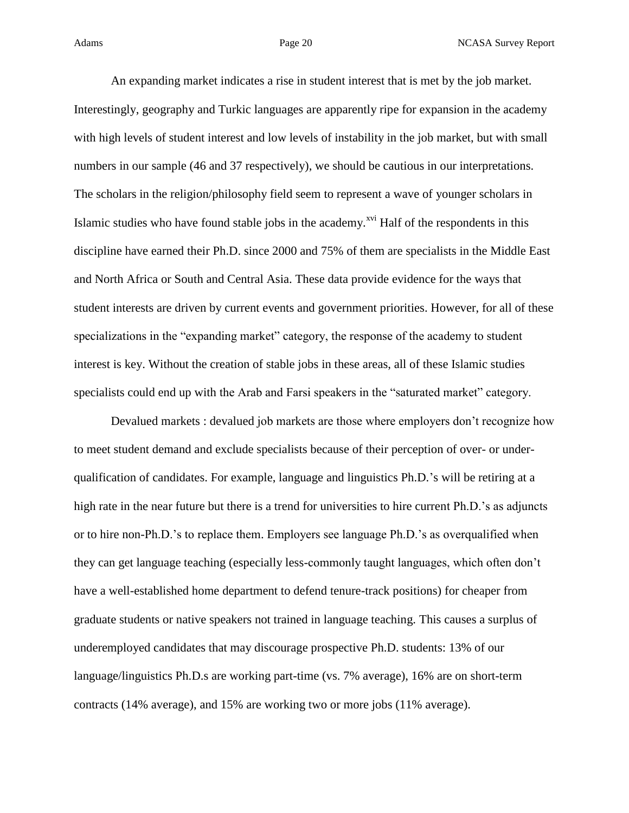An expanding market indicates a rise in student interest that is met by the job market. Interestingly, geography and Turkic languages are apparently ripe for expansion in the academy with high levels of student interest and low levels of instability in the job market, but with small numbers in our sample (46 and 37 respectively), we should be cautious in our interpretations. The scholars in the religion/philosophy field seem to represent a wave of younger scholars in Islamic studies who have found stable jobs in the academy.<sup> $xvi$ </sup> Half of the respondents in this discipline have earned their Ph.D. since 2000 and 75% of them are specialists in the Middle East and North Africa or South and Central Asia. These data provide evidence for the ways that student interests are driven by current events and government priorities. However, for all of these specializations in the "expanding market" category, the response of the academy to student interest is key. Without the creation of stable jobs in these areas, all of these Islamic studies specialists could end up with the Arab and Farsi speakers in the "saturated market" category.

Devalued markets : devalued job markets are those where employers don't recognize how to meet student demand and exclude specialists because of their perception of over- or underqualification of candidates. For example, language and linguistics Ph.D.'s will be retiring at a high rate in the near future but there is a trend for universities to hire current Ph.D.'s as adjuncts or to hire non-Ph.D.'s to replace them. Employers see language Ph.D.'s as overqualified when they can get language teaching (especially less-commonly taught languages, which often don't have a well-established home department to defend tenure-track positions) for cheaper from graduate students or native speakers not trained in language teaching. This causes a surplus of underemployed candidates that may discourage prospective Ph.D. students: 13% of our language/linguistics Ph.D.s are working part-time (vs. 7% average), 16% are on short-term contracts (14% average), and 15% are working two or more jobs (11% average).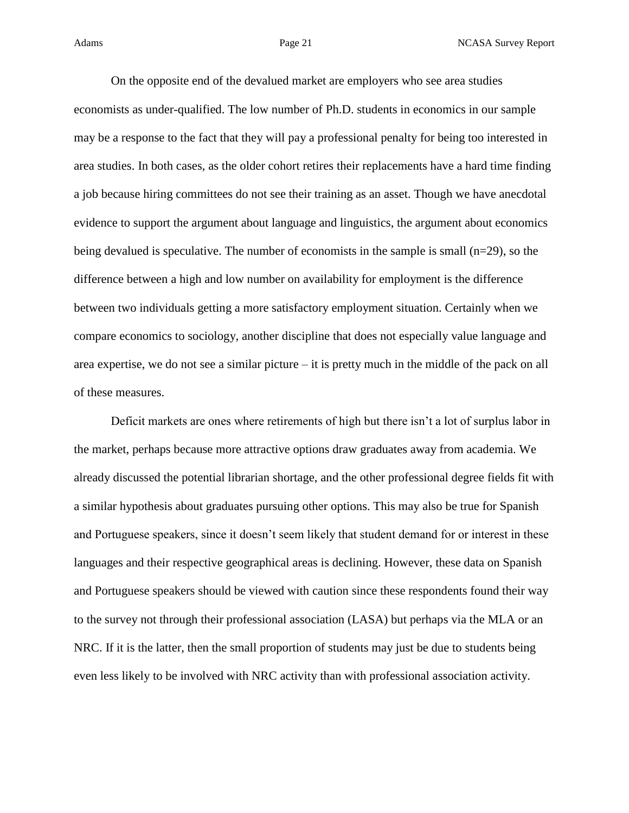On the opposite end of the devalued market are employers who see area studies economists as under-qualified. The low number of Ph.D. students in economics in our sample may be a response to the fact that they will pay a professional penalty for being too interested in area studies. In both cases, as the older cohort retires their replacements have a hard time finding a job because hiring committees do not see their training as an asset. Though we have anecdotal evidence to support the argument about language and linguistics, the argument about economics being devalued is speculative. The number of economists in the sample is small (n=29), so the difference between a high and low number on availability for employment is the difference between two individuals getting a more satisfactory employment situation. Certainly when we compare economics to sociology, another discipline that does not especially value language and area expertise, we do not see a similar picture – it is pretty much in the middle of the pack on all of these measures.

Deficit markets are ones where retirements of high but there isn't a lot of surplus labor in the market, perhaps because more attractive options draw graduates away from academia. We already discussed the potential librarian shortage, and the other professional degree fields fit with a similar hypothesis about graduates pursuing other options. This may also be true for Spanish and Portuguese speakers, since it doesn't seem likely that student demand for or interest in these languages and their respective geographical areas is declining. However, these data on Spanish and Portuguese speakers should be viewed with caution since these respondents found their way to the survey not through their professional association (LASA) but perhaps via the MLA or an NRC. If it is the latter, then the small proportion of students may just be due to students being even less likely to be involved with NRC activity than with professional association activity.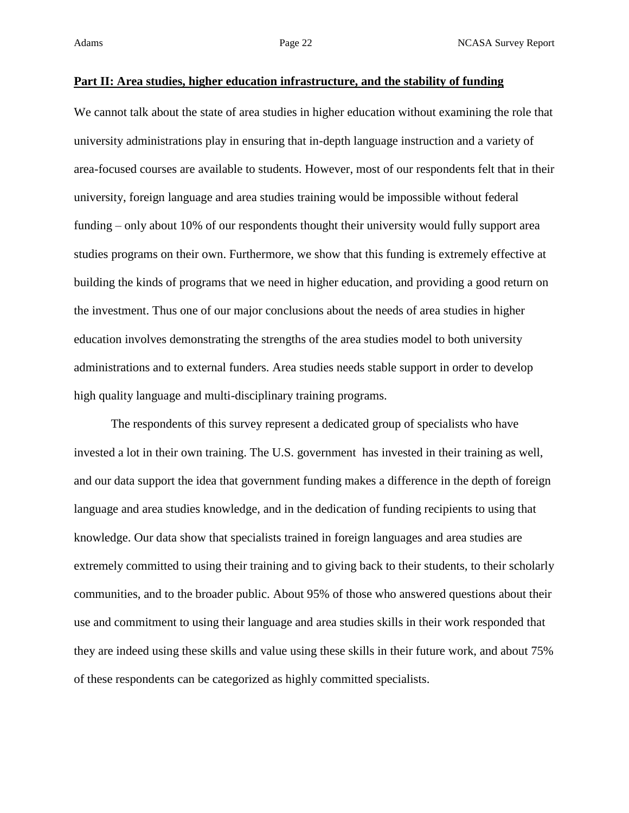### **Part II: Area studies, higher education infrastructure, and the stability of funding**

We cannot talk about the state of area studies in higher education without examining the role that university administrations play in ensuring that in-depth language instruction and a variety of area-focused courses are available to students. However, most of our respondents felt that in their university, foreign language and area studies training would be impossible without federal funding – only about 10% of our respondents thought their university would fully support area studies programs on their own. Furthermore, we show that this funding is extremely effective at building the kinds of programs that we need in higher education, and providing a good return on the investment. Thus one of our major conclusions about the needs of area studies in higher education involves demonstrating the strengths of the area studies model to both university administrations and to external funders. Area studies needs stable support in order to develop high quality language and multi-disciplinary training programs.

The respondents of this survey represent a dedicated group of specialists who have invested a lot in their own training. The U.S. government has invested in their training as well, and our data support the idea that government funding makes a difference in the depth of foreign language and area studies knowledge, and in the dedication of funding recipients to using that knowledge. Our data show that specialists trained in foreign languages and area studies are extremely committed to using their training and to giving back to their students, to their scholarly communities, and to the broader public. About 95% of those who answered questions about their use and commitment to using their language and area studies skills in their work responded that they are indeed using these skills and value using these skills in their future work, and about 75% of these respondents can be categorized as highly committed specialists.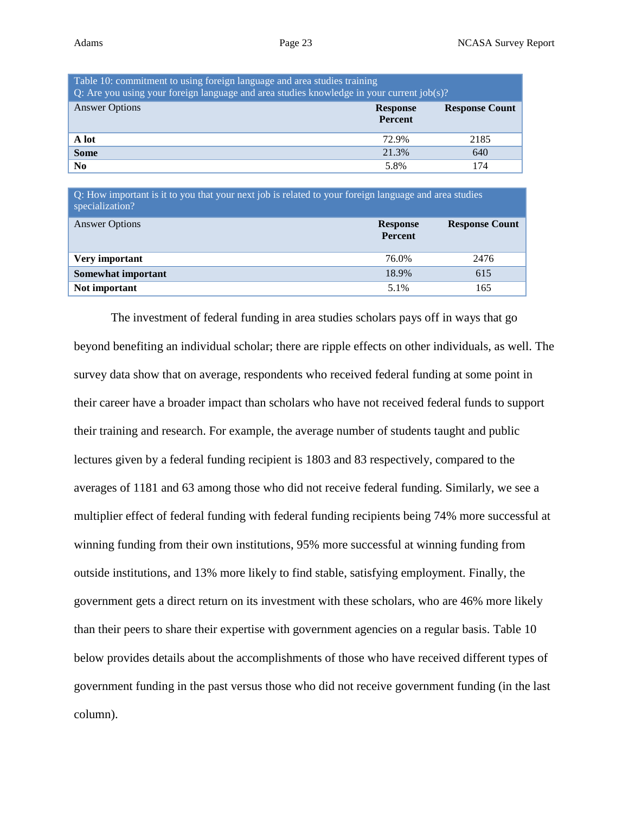| Table 10: commitment to using foreign language and area studies training<br>Q: Are you using your foreign language and area studies knowledge in your current $job(s)$ ? |                                   |                       |  |  |  |
|--------------------------------------------------------------------------------------------------------------------------------------------------------------------------|-----------------------------------|-----------------------|--|--|--|
| <b>Answer Options</b>                                                                                                                                                    | <b>Response</b><br><b>Percent</b> | <b>Response Count</b> |  |  |  |
| A lot                                                                                                                                                                    | 72.9%                             | 2185                  |  |  |  |
| <b>Some</b>                                                                                                                                                              | 21.3%                             | 640                   |  |  |  |
| N <sub>0</sub>                                                                                                                                                           | 5.8%                              | 174                   |  |  |  |

Q: How important is it to you that your next job is related to your foreign language and area studies specialization?

| <b>Answer Options</b> | <b>Response</b><br>Percent | <b>Response Count</b> |
|-----------------------|----------------------------|-----------------------|
| Very important        | 76.0%                      | 2476                  |
| Somewhat important    | 18.9%                      | 615                   |
| Not important         | 5.1%                       | 165                   |

The investment of federal funding in area studies scholars pays off in ways that go beyond benefiting an individual scholar; there are ripple effects on other individuals, as well. The survey data show that on average, respondents who received federal funding at some point in their career have a broader impact than scholars who have not received federal funds to support their training and research. For example, the average number of students taught and public lectures given by a federal funding recipient is 1803 and 83 respectively, compared to the averages of 1181 and 63 among those who did not receive federal funding. Similarly, we see a multiplier effect of federal funding with federal funding recipients being 74% more successful at winning funding from their own institutions, 95% more successful at winning funding from outside institutions, and 13% more likely to find stable, satisfying employment. Finally, the government gets a direct return on its investment with these scholars, who are 46% more likely than their peers to share their expertise with government agencies on a regular basis. Table 10 below provides details about the accomplishments of those who have received different types of government funding in the past versus those who did not receive government funding (in the last column).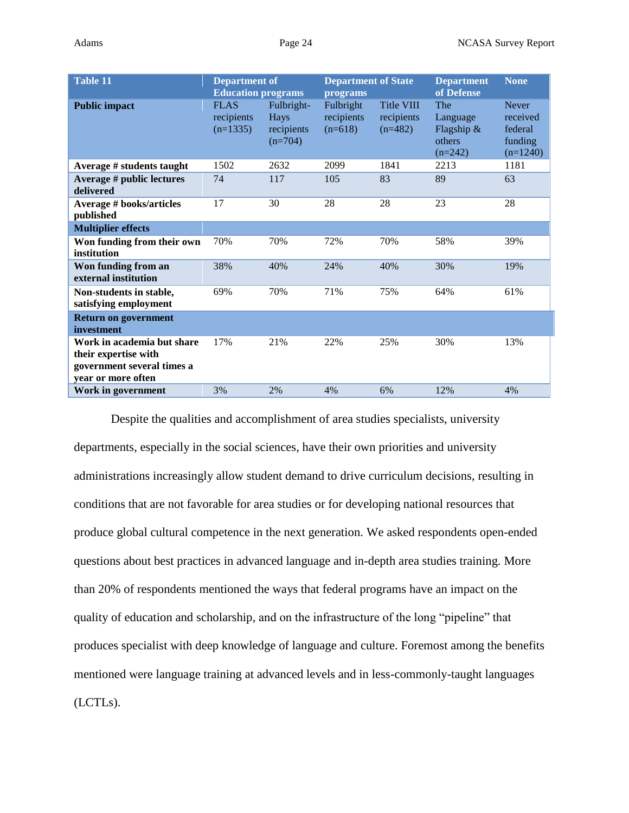| <b>Table 11</b>                                                                                        | <b>Department of</b><br><b>Education programs</b> |                                               | <b>Department of State</b><br>programs |                                              | <b>Department</b><br>of Defense                      | <b>None</b>                                                  |
|--------------------------------------------------------------------------------------------------------|---------------------------------------------------|-----------------------------------------------|----------------------------------------|----------------------------------------------|------------------------------------------------------|--------------------------------------------------------------|
| <b>Public impact</b>                                                                                   | <b>FLAS</b><br>recipients<br>$(n=1335)$           | Fulbright-<br>Hays<br>recipients<br>$(n=704)$ | Fulbright<br>recipients<br>$(n=618)$   | <b>Title VIII</b><br>recipients<br>$(n=482)$ | The<br>Language<br>Flagship &<br>others<br>$(n=242)$ | <b>Never</b><br>received<br>federal<br>funding<br>$(n=1240)$ |
| Average # students taught                                                                              | 1502                                              | 2632                                          | 2099                                   | 1841                                         | 2213                                                 | 1181                                                         |
| Average # public lectures<br>delivered                                                                 | 74                                                | 117                                           | 105                                    | 83                                           | 89                                                   | 63                                                           |
| <b>Average # books/articles</b><br>published                                                           | 17                                                | 30                                            | 28                                     | 28                                           | 23                                                   | 28                                                           |
| <b>Multiplier effects</b>                                                                              |                                                   |                                               |                                        |                                              |                                                      |                                                              |
| Won funding from their own<br>institution                                                              | 70%                                               | 70%                                           | 72%                                    | 70%                                          | 58%                                                  | 39%                                                          |
| Won funding from an<br>external institution                                                            | 38%                                               | 40%                                           | 24%                                    | 40%                                          | 30%                                                  | 19%                                                          |
| Non-students in stable,<br>satisfying employment                                                       | 69%                                               | 70%                                           | 71%                                    | 75%                                          | 64%                                                  | 61%                                                          |
| <b>Return on government</b><br>investment                                                              |                                                   |                                               |                                        |                                              |                                                      |                                                              |
| Work in academia but share<br>their expertise with<br>government several times a<br>year or more often | 17%                                               | 21%                                           | 22%                                    | 25%                                          | 30%                                                  | 13%                                                          |
| Work in government                                                                                     | 3%                                                | 2%                                            | 4%                                     | 6%                                           | 12%                                                  | 4%                                                           |

Despite the qualities and accomplishment of area studies specialists, university departments, especially in the social sciences, have their own priorities and university administrations increasingly allow student demand to drive curriculum decisions, resulting in conditions that are not favorable for area studies or for developing national resources that produce global cultural competence in the next generation. We asked respondents open-ended questions about best practices in advanced language and in-depth area studies training. More than 20% of respondents mentioned the ways that federal programs have an impact on the quality of education and scholarship, and on the infrastructure of the long "pipeline" that produces specialist with deep knowledge of language and culture. Foremost among the benefits mentioned were language training at advanced levels and in less-commonly-taught languages (LCTLs).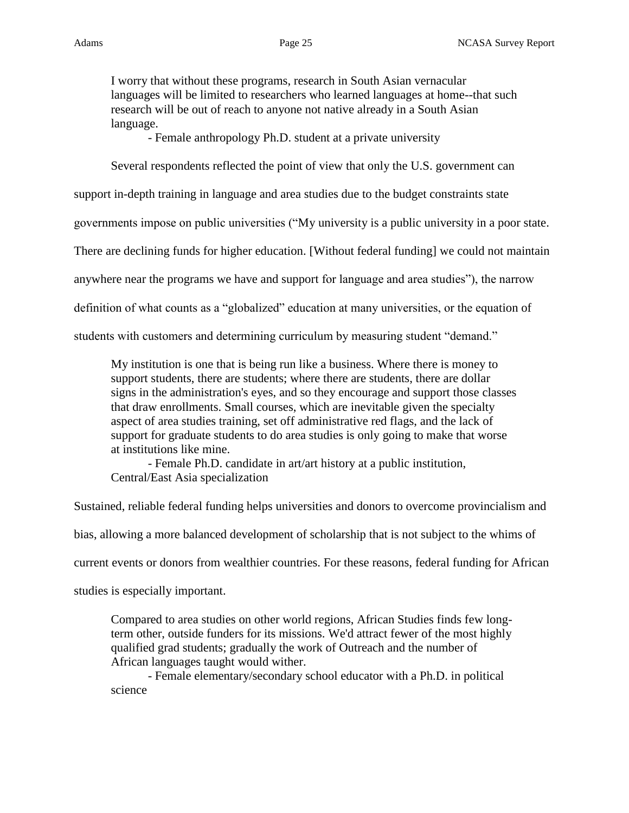I worry that without these programs, research in South Asian vernacular languages will be limited to researchers who learned languages at home--that such research will be out of reach to anyone not native already in a South Asian language.

- Female anthropology Ph.D. student at a private university

Several respondents reflected the point of view that only the U.S. government can

support in-depth training in language and area studies due to the budget constraints state

governments impose on public universities ("My university is a public university in a poor state.

There are declining funds for higher education. [Without federal funding] we could not maintain

anywhere near the programs we have and support for language and area studies"), the narrow

definition of what counts as a "globalized" education at many universities, or the equation of

students with customers and determining curriculum by measuring student "demand."

My institution is one that is being run like a business. Where there is money to support students, there are students; where there are students, there are dollar signs in the administration's eyes, and so they encourage and support those classes that draw enrollments. Small courses, which are inevitable given the specialty aspect of area studies training, set off administrative red flags, and the lack of support for graduate students to do area studies is only going to make that worse at institutions like mine.

- Female Ph.D. candidate in art/art history at a public institution, Central/East Asia specialization

Sustained, reliable federal funding helps universities and donors to overcome provincialism and

bias, allowing a more balanced development of scholarship that is not subject to the whims of

current events or donors from wealthier countries. For these reasons, federal funding for African

studies is especially important.

Compared to area studies on other world regions, African Studies finds few longterm other, outside funders for its missions. We'd attract fewer of the most highly qualified grad students; gradually the work of Outreach and the number of African languages taught would wither.

- Female elementary/secondary school educator with a Ph.D. in political science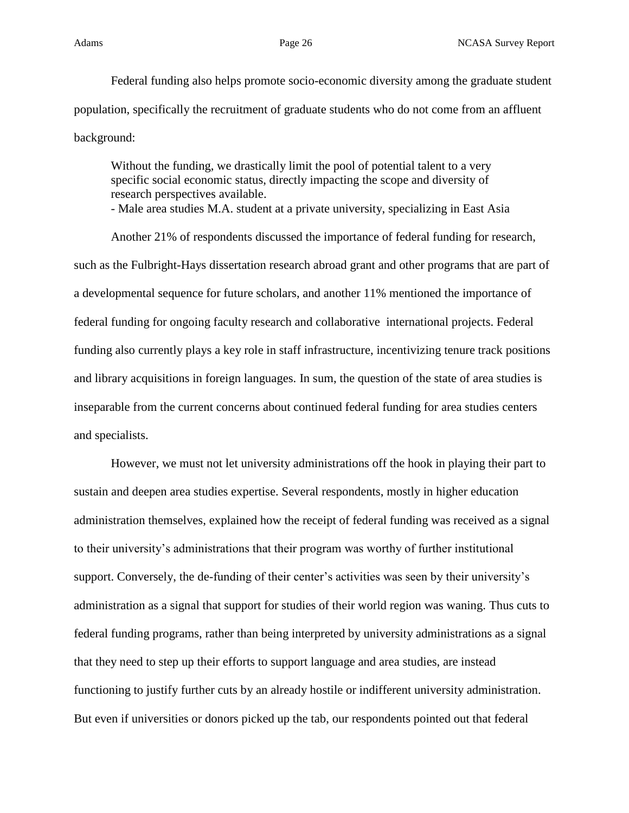Federal funding also helps promote socio-economic diversity among the graduate student population, specifically the recruitment of graduate students who do not come from an affluent background:

Without the funding, we drastically limit the pool of potential talent to a very specific social economic status, directly impacting the scope and diversity of research perspectives available.

- Male area studies M.A. student at a private university, specializing in East Asia

Another 21% of respondents discussed the importance of federal funding for research, such as the Fulbright-Hays dissertation research abroad grant and other programs that are part of a developmental sequence for future scholars, and another 11% mentioned the importance of federal funding for ongoing faculty research and collaborative international projects. Federal funding also currently plays a key role in staff infrastructure, incentivizing tenure track positions and library acquisitions in foreign languages. In sum, the question of the state of area studies is inseparable from the current concerns about continued federal funding for area studies centers and specialists.

However, we must not let university administrations off the hook in playing their part to sustain and deepen area studies expertise. Several respondents, mostly in higher education administration themselves, explained how the receipt of federal funding was received as a signal to their university's administrations that their program was worthy of further institutional support. Conversely, the de-funding of their center's activities was seen by their university's administration as a signal that support for studies of their world region was waning. Thus cuts to federal funding programs, rather than being interpreted by university administrations as a signal that they need to step up their efforts to support language and area studies, are instead functioning to justify further cuts by an already hostile or indifferent university administration. But even if universities or donors picked up the tab, our respondents pointed out that federal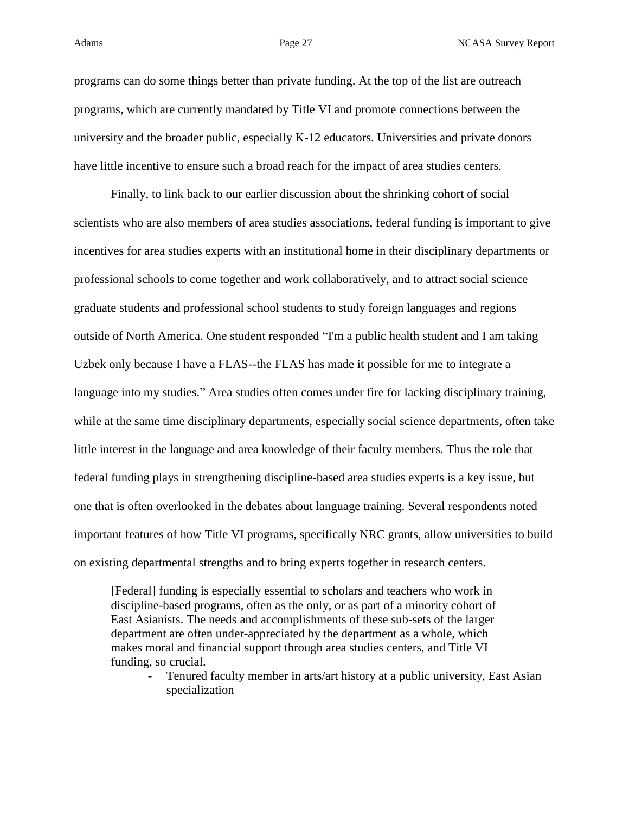programs can do some things better than private funding. At the top of the list are outreach programs, which are currently mandated by Title VI and promote connections between the university and the broader public, especially K-12 educators. Universities and private donors have little incentive to ensure such a broad reach for the impact of area studies centers.

Finally, to link back to our earlier discussion about the shrinking cohort of social scientists who are also members of area studies associations, federal funding is important to give incentives for area studies experts with an institutional home in their disciplinary departments or professional schools to come together and work collaboratively, and to attract social science graduate students and professional school students to study foreign languages and regions outside of North America. One student responded "I'm a public health student and I am taking Uzbek only because I have a FLAS--the FLAS has made it possible for me to integrate a language into my studies." Area studies often comes under fire for lacking disciplinary training, while at the same time disciplinary departments, especially social science departments, often take little interest in the language and area knowledge of their faculty members. Thus the role that federal funding plays in strengthening discipline-based area studies experts is a key issue, but one that is often overlooked in the debates about language training. Several respondents noted important features of how Title VI programs, specifically NRC grants, allow universities to build on existing departmental strengths and to bring experts together in research centers.

[Federal] funding is especially essential to scholars and teachers who work in discipline-based programs, often as the only, or as part of a minority cohort of East Asianists. The needs and accomplishments of these sub-sets of the larger department are often under-appreciated by the department as a whole, which makes moral and financial support through area studies centers, and Title VI funding, so crucial.

- Tenured faculty member in arts/art history at a public university, East Asian specialization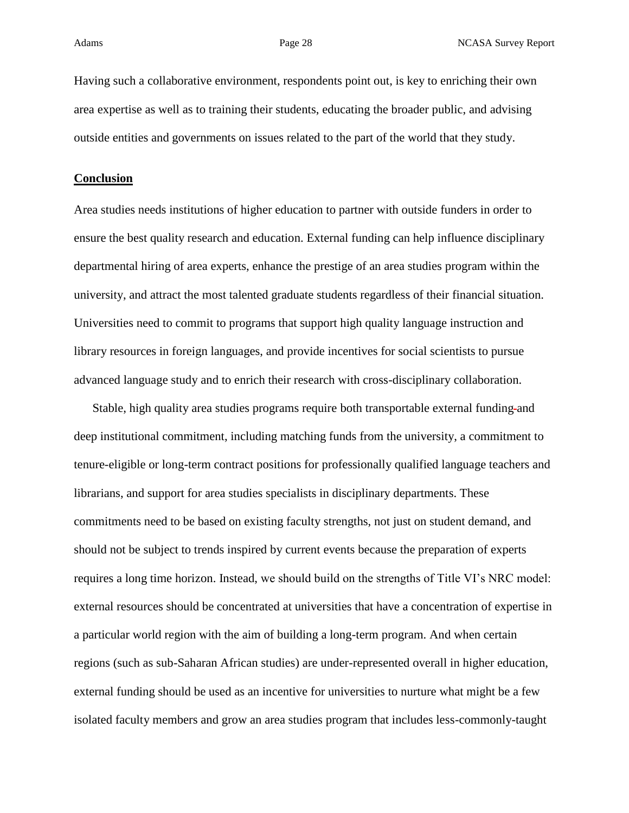Having such a collaborative environment, respondents point out, is key to enriching their own area expertise as well as to training their students, educating the broader public, and advising outside entities and governments on issues related to the part of the world that they study.

### **Conclusion**

Area studies needs institutions of higher education to partner with outside funders in order to ensure the best quality research and education. External funding can help influence disciplinary departmental hiring of area experts, enhance the prestige of an area studies program within the university, and attract the most talented graduate students regardless of their financial situation. Universities need to commit to programs that support high quality language instruction and library resources in foreign languages, and provide incentives for social scientists to pursue advanced language study and to enrich their research with cross-disciplinary collaboration.

Stable, high quality area studies programs require both transportable external funding-and deep institutional commitment, including matching funds from the university, a commitment to tenure-eligible or long-term contract positions for professionally qualified language teachers and librarians, and support for area studies specialists in disciplinary departments. These commitments need to be based on existing faculty strengths, not just on student demand, and should not be subject to trends inspired by current events because the preparation of experts requires a long time horizon. Instead, we should build on the strengths of Title VI's NRC model: external resources should be concentrated at universities that have a concentration of expertise in a particular world region with the aim of building a long-term program. And when certain regions (such as sub-Saharan African studies) are under-represented overall in higher education, external funding should be used as an incentive for universities to nurture what might be a few isolated faculty members and grow an area studies program that includes less-commonly-taught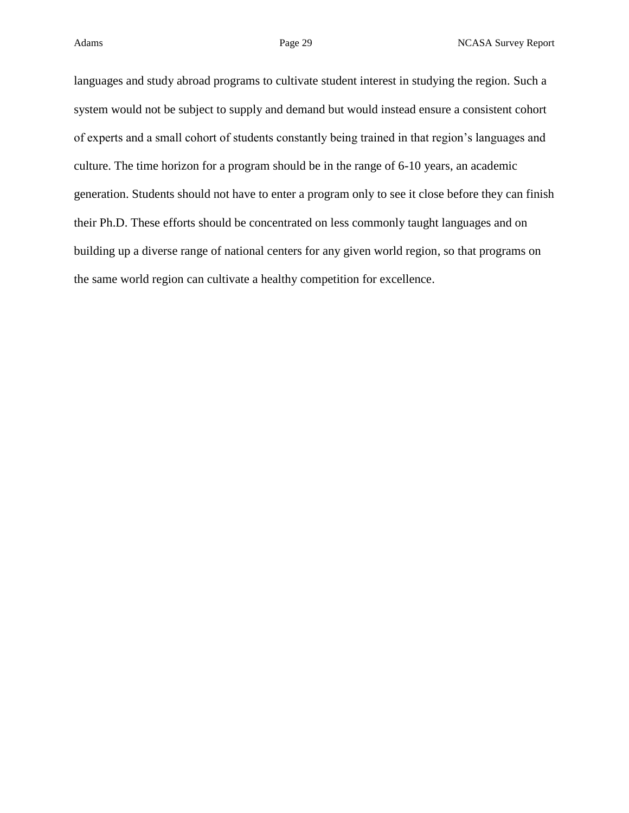languages and study abroad programs to cultivate student interest in studying the region. Such a system would not be subject to supply and demand but would instead ensure a consistent cohort of experts and a small cohort of students constantly being trained in that region's languages and culture. The time horizon for a program should be in the range of 6-10 years, an academic generation. Students should not have to enter a program only to see it close before they can finish their Ph.D. These efforts should be concentrated on less commonly taught languages and on building up a diverse range of national centers for any given world region, so that programs on the same world region can cultivate a healthy competition for excellence.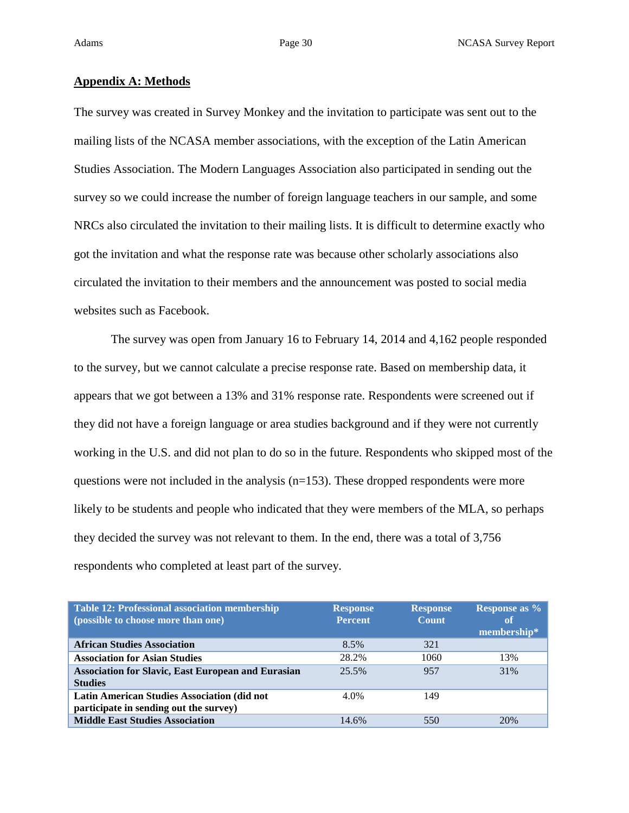### **Appendix A: Methods**

The survey was created in Survey Monkey and the invitation to participate was sent out to the mailing lists of the NCASA member associations, with the exception of the Latin American Studies Association. The Modern Languages Association also participated in sending out the survey so we could increase the number of foreign language teachers in our sample, and some NRCs also circulated the invitation to their mailing lists. It is difficult to determine exactly who got the invitation and what the response rate was because other scholarly associations also circulated the invitation to their members and the announcement was posted to social media websites such as Facebook.

The survey was open from January 16 to February 14, 2014 and 4,162 people responded to the survey, but we cannot calculate a precise response rate. Based on membership data, it appears that we got between a 13% and 31% response rate. Respondents were screened out if they did not have a foreign language or area studies background and if they were not currently working in the U.S. and did not plan to do so in the future. Respondents who skipped most of the questions were not included in the analysis (n=153). These dropped respondents were more likely to be students and people who indicated that they were members of the MLA, so perhaps they decided the survey was not relevant to them. In the end, there was a total of 3,756 respondents who completed at least part of the survey.

| <b>Table 12: Professional association membership</b>      | <b>Response</b> | <b>Response</b> | <b>Response as %</b> |
|-----------------------------------------------------------|-----------------|-----------------|----------------------|
| (possible to choose more than one)                        | <b>Percent</b>  | <b>Count</b>    | <sup>of</sup>        |
|                                                           |                 |                 | membership*          |
| <b>African Studies Association</b>                        | 8.5%            | 321             |                      |
| <b>Association for Asian Studies</b>                      | 28.2%           | 1060            | 13%                  |
| <b>Association for Slavic, East European and Eurasian</b> | 25.5%           | 957             | 31%                  |
| <b>Studies</b>                                            |                 |                 |                      |
| <b>Latin American Studies Association (did not</b>        | 4.0%            | 149             |                      |
| participate in sending out the survey)                    |                 |                 |                      |
| <b>Middle East Studies Association</b>                    | 14.6%           | 550             | 20%                  |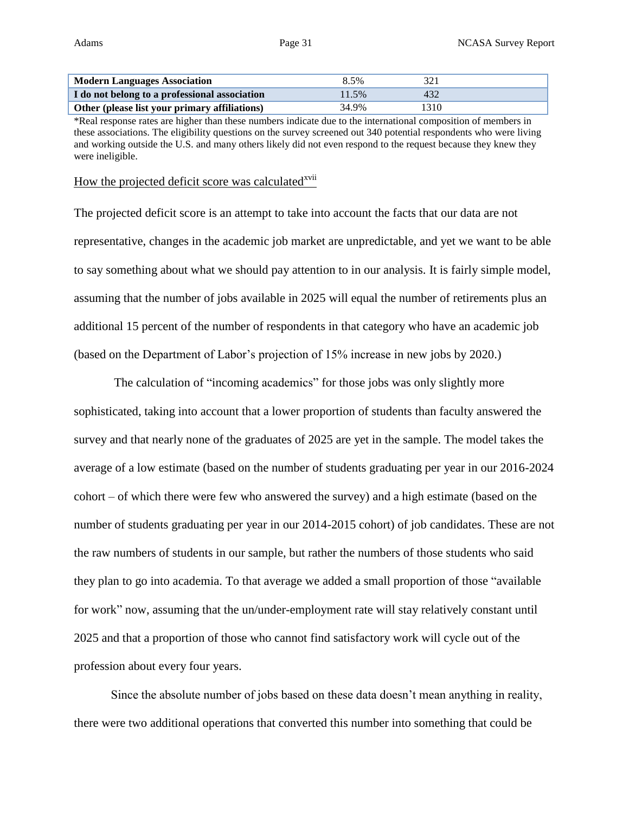| <b>Modern Languages Association</b>           | 8.5%  |      |
|-----------------------------------------------|-------|------|
| I do not belong to a professional association | 11.5% | 432  |
| Other (please list your primary affiliations) | 34.9% | 1310 |

\*Real response rates are higher than these numbers indicate due to the international composition of members in these associations. The eligibility questions on the survey screened out 340 potential respondents who were living and working outside the U.S. and many others likely did not even respond to the request because they knew they were ineligible.

How the projected deficit score was calculated<sup>xvii</sup>

The projected deficit score is an attempt to take into account the facts that our data are not representative, changes in the academic job market are unpredictable, and yet we want to be able to say something about what we should pay attention to in our analysis. It is fairly simple model, assuming that the number of jobs available in 2025 will equal the number of retirements plus an additional 15 percent of the number of respondents in that category who have an academic job (based on the Department of Labor's projection of 15% increase in new jobs by 2020.)

The calculation of "incoming academics" for those jobs was only slightly more sophisticated, taking into account that a lower proportion of students than faculty answered the survey and that nearly none of the graduates of 2025 are yet in the sample. The model takes the average of a low estimate (based on the number of students graduating per year in our 2016-2024 cohort – of which there were few who answered the survey) and a high estimate (based on the number of students graduating per year in our 2014-2015 cohort) of job candidates. These are not the raw numbers of students in our sample, but rather the numbers of those students who said they plan to go into academia. To that average we added a small proportion of those "available for work" now, assuming that the un/under-employment rate will stay relatively constant until 2025 and that a proportion of those who cannot find satisfactory work will cycle out of the profession about every four years.

Since the absolute number of jobs based on these data doesn't mean anything in reality, there were two additional operations that converted this number into something that could be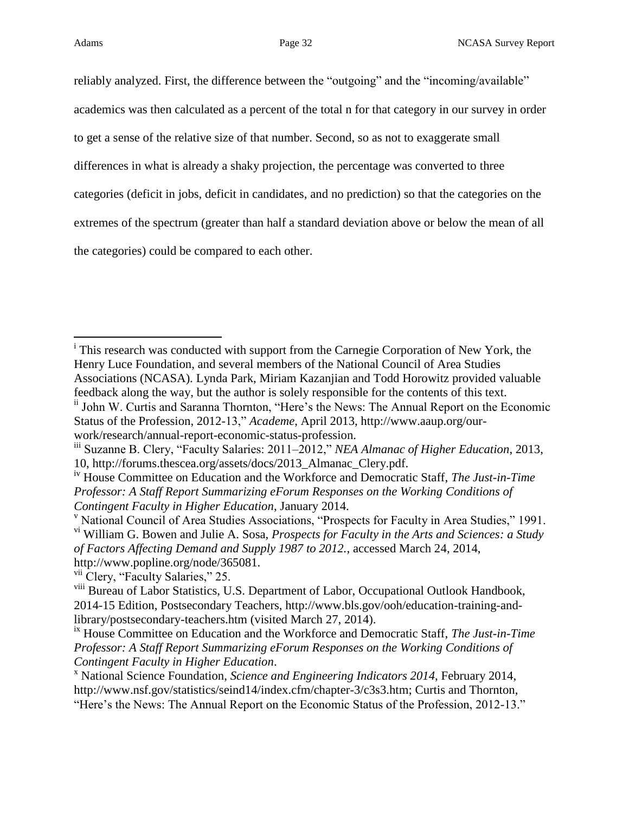$\overline{a}$ 

reliably analyzed. First, the difference between the "outgoing" and the "incoming/available" academics was then calculated as a percent of the total n for that category in our survey in order to get a sense of the relative size of that number. Second, so as not to exaggerate small differences in what is already a shaky projection, the percentage was converted to three categories (deficit in jobs, deficit in candidates, and no prediction) so that the categories on the extremes of the spectrum (greater than half a standard deviation above or below the mean of all the categories) could be compared to each other.

<sup>&</sup>lt;sup>i</sup> This research was conducted with support from the Carnegie Corporation of New York, the Henry Luce Foundation, and several members of the National Council of Area Studies Associations (NCASA). Lynda Park, Miriam Kazanjian and Todd Horowitz provided valuable feedback along the way, but the author is solely responsible for the contents of this text. ii John W. Curtis and Saranna Thornton, "Here's the News: The Annual Report on the Economic Status of the Profession, 2012-13," *Academe*, April 2013, http://www.aaup.org/ourwork/research/annual-report-economic-status-profession.

iii Suzanne B. Clery, "Faculty Salaries: 2011–2012," *NEA Almanac of Higher Education*, 2013, 10, http://forums.thescea.org/assets/docs/2013\_Almanac\_Clery.pdf.

iv House Committee on Education and the Workforce and Democratic Staff, *The Just-in-Time Professor: A Staff Report Summarizing eForum Responses on the Working Conditions of Contingent Faculty in Higher Education*, January 2014.

<sup>v</sup> National Council of Area Studies Associations, "Prospects for Faculty in Area Studies," 1991. vi William G. Bowen and Julie A. Sosa, *Prospects for Faculty in the Arts and Sciences: a Study of Factors Affecting Demand and Supply 1987 to 2012.*, accessed March 24, 2014,

http://www.popline.org/node/365081. <sup>vii</sup> Clery, "Faculty Salaries," 25.

viii Bureau of Labor Statistics, U.S. Department of Labor, Occupational Outlook Handbook,

<sup>2014-15</sup> Edition, Postsecondary Teachers, http://www.bls.gov/ooh/education-training-andlibrary/postsecondary-teachers.htm (visited March 27, 2014).

ix House Committee on Education and the Workforce and Democratic Staff, *The Just-in-Time Professor: A Staff Report Summarizing eForum Responses on the Working Conditions of Contingent Faculty in Higher Education*.

<sup>x</sup> National Science Foundation, *Science and Engineering Indicators 2014*, February 2014, http://www.nsf.gov/statistics/seind14/index.cfm/chapter-3/c3s3.htm; Curtis and Thornton, "Here's the News: The Annual Report on the Economic Status of the Profession, 2012-13."